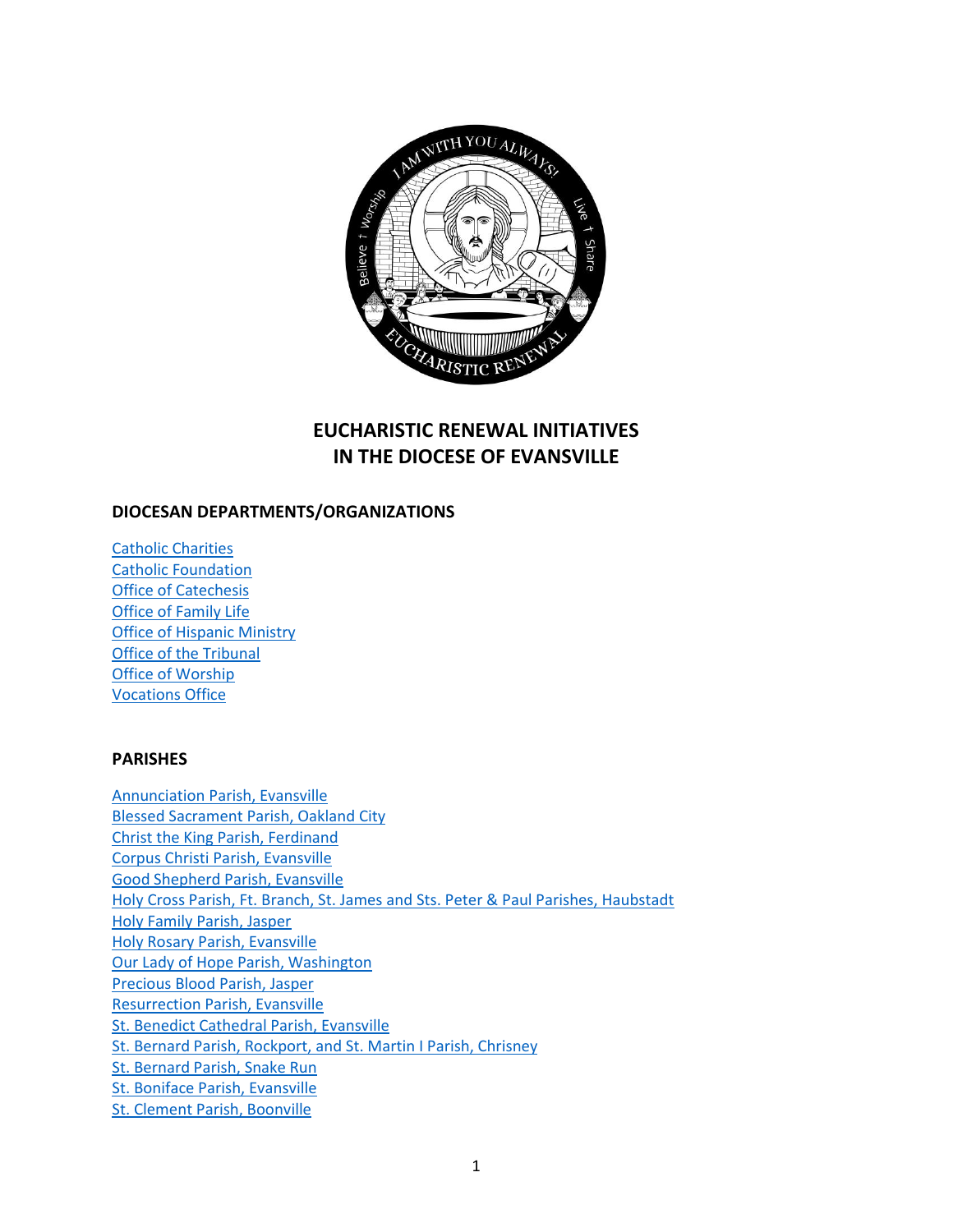

# **EUCHARISTIC RENEWAL INITIATIVES IN THE DIOCESE OF EVANSVILLE**

## **DIOCESAN DEPARTMENTS/ORGANIZATIONS**

[Catholic Charities](#page-3-0) [Catholic Foundation](#page-3-1) [Office of Catechesis](#page-3-2) [Office of Family Life](#page-3-3) [Office of Hispanic Ministry](#page-3-4) [Office of the Tribunal](#page-4-0) Office [of Worship](#page-4-1) [Vocations Office](#page-4-2)

### **PARISHES**

[Annunciation Parish, Evansville](#page-5-0) [Blessed Sacrament Parish, Oakland City](#page-5-1) [Christ the King Parish, Ferdinand](#page-5-2) [Corpus Christi Parish, Evansville](#page-5-3) [Good Shepherd Parish, Evansville](#page-6-0) [Holy Cross Parish, Ft. Branch, St. James and Sts. Peter & Paul Parishes, Haubstadt](#page-6-1) [Holy Family Parish, Jasper](#page-7-0) [Holy Rosary Parish, Evansville](#page-7-1) [Our Lady of Hope Parish, Washington](#page-7-2) [Precious Blood Parish, Jasper](#page-8-0) [Resurrection Parish, Evansville](#page-8-1) [St. Benedict Cathedral Parish, Evansville](#page-8-2) St. Bernard Parish, Rockport, [and St. Martin I Parish, Chrisney](#page-8-3) [St. Bernard Parish, Snake Run](#page-8-4) [St. Boniface Parish, Evansville](#page-8-5) [St. Clement Parish, Boonville](#page-9-0)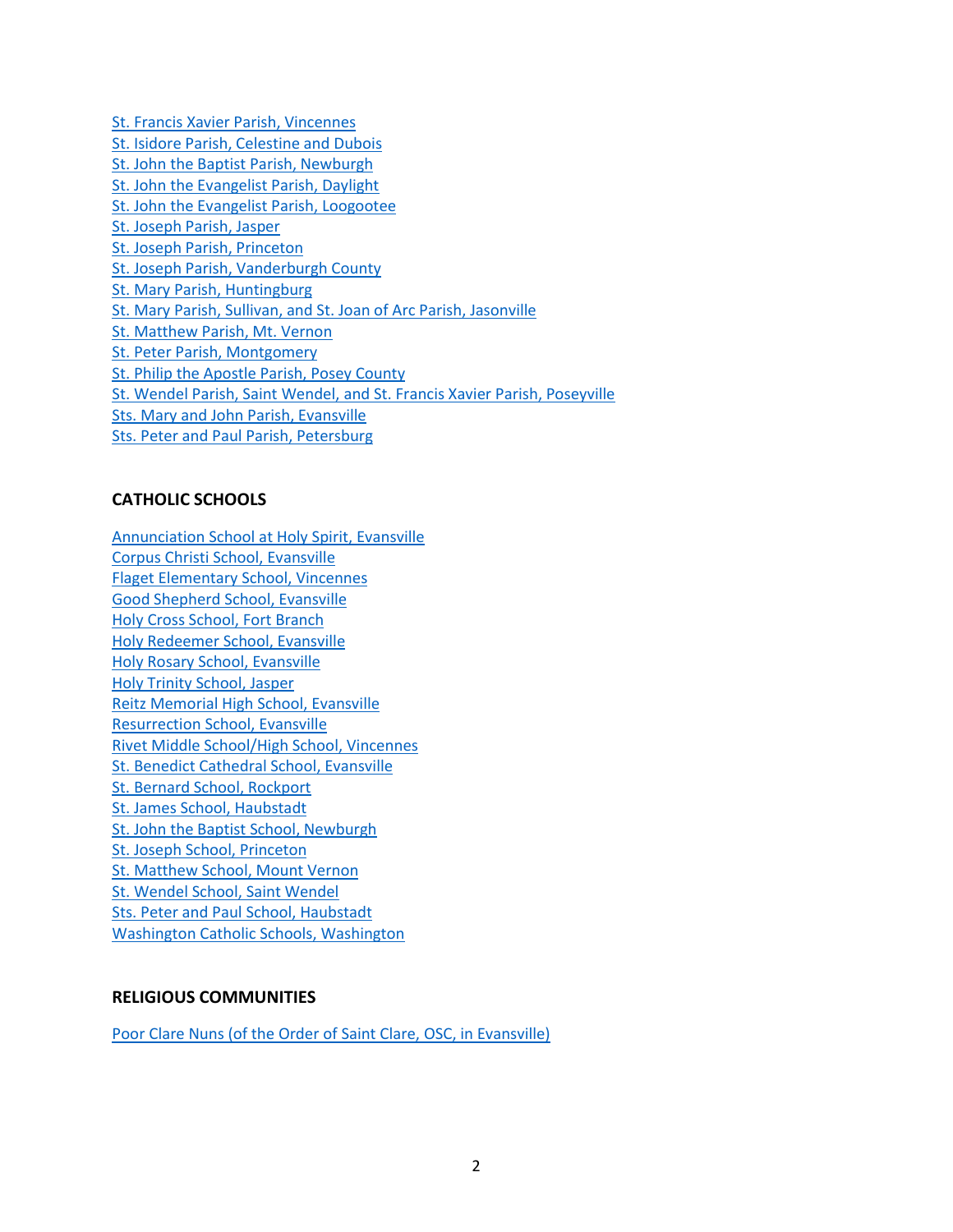[St. Francis Xavier Parish, Vincennes](#page-9-1) [St. Isidore Parish, Celestine and Dubois](#page-9-2) [St. John the Baptist Parish, Newburgh](#page-9-3) [St. John the Evangelist Parish, Daylight](#page-10-0) [St. John the Evangelist Parish, Loogootee](#page-10-1) [St. Joseph Parish, Jasper](#page-10-2) [St. Joseph Parish, Princeton](#page-11-0) [St. Joseph Parish, Vanderburgh County](#page-11-1) [St. Mary Parish, Huntingburg](#page-11-2) St. Mary Parish, Sullivan, [and St. Joan of Arc Parish, Jasonville](#page-11-3) [St. Matthew Parish, Mt. Vernon](#page-12-0) [St. Peter Parish, Montgomery](#page-12-1) [St. Philip the Apostle Parish, Posey County](#page-12-2) St. Wendel Parish, Saint Wendel, [and St. Francis Xavier Parish, Poseyville](#page-13-0) [Sts. Mary and John](#page-13-1) Parish, Evansville [Sts. Peter and Paul Parish, Petersburg](#page-13-2)

## **CATHOLIC SCHOOLS**

[Annunciation School at Holy Spirit, Evansville](#page-14-0) [Corpus Christi School,](#page-14-1) Evansville [Flaget Elementary School, Vincennes](#page-14-2) [Good Shepherd School, Evansville](#page-14-3) [Holy Cross School, Fort Branch](#page-14-4) [Holy Redeemer School, Evansville](#page-15-0) [Holy Rosary School, Evansville](#page-15-1) [Holy Trinity School, Jasper](#page-15-2) [Reitz Memorial High School, Evansville](#page-15-3) [Resurrection School, Evansville](#page-15-4) [Rivet Middle School/High School, Vincennes](#page-16-0) [St. Benedict Cathedral School, Evansville](#page-16-1) [St. Bernard School, Rockport](#page-16-2) [St. James School, Haubstadt](#page-16-3) [St. John the Baptist School, Newburgh](#page-16-4) [St. Joseph School, Princeton](#page-17-0) [St. Matthew School, Mount Vernon](#page-17-1) [St. Wendel School, Saint Wendel](#page-17-2) [Sts. Peter and Paul School, Haubstadt](#page-17-3) [Washington Catholic Schools, Washington](#page-17-4)

# **RELIGIOUS COMMUNITIES**

[Poor Clare Nuns \(of the Order of Saint Clare, OSC, in Evansville\)](#page-19-0)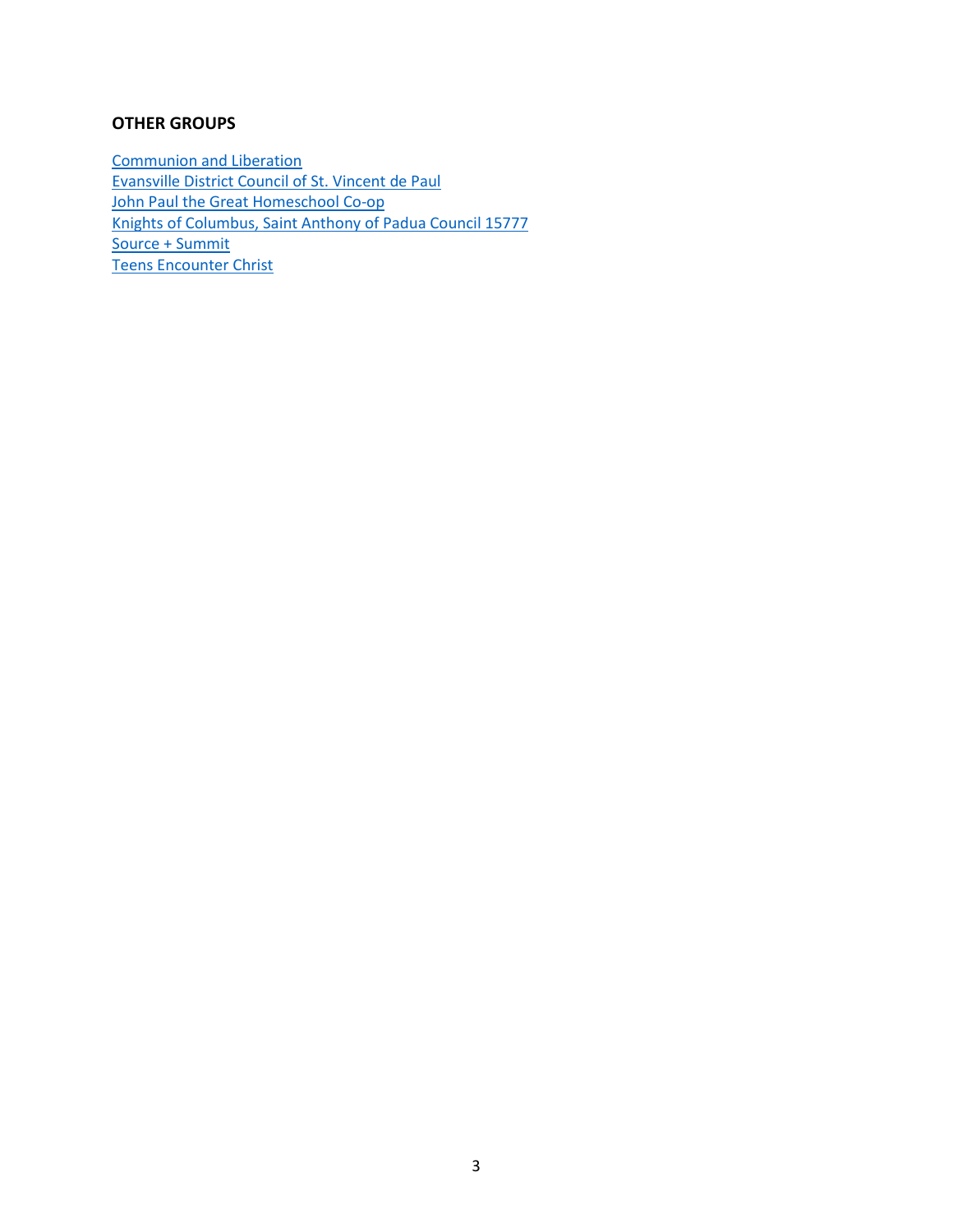# **OTHER GROUPS**

[Communion and Liberation](#page-20-0) [Evansville District Council of St. Vincent de Paul](#page-20-1) [John Paul the Great Homeschool Co-op](#page-20-2) [Knights of Columbus, Saint Anthony of Padua Council 15777](#page-20-3) [Source + Summit](#page-20-4) [Teens Encounter Christ](#page-21-0)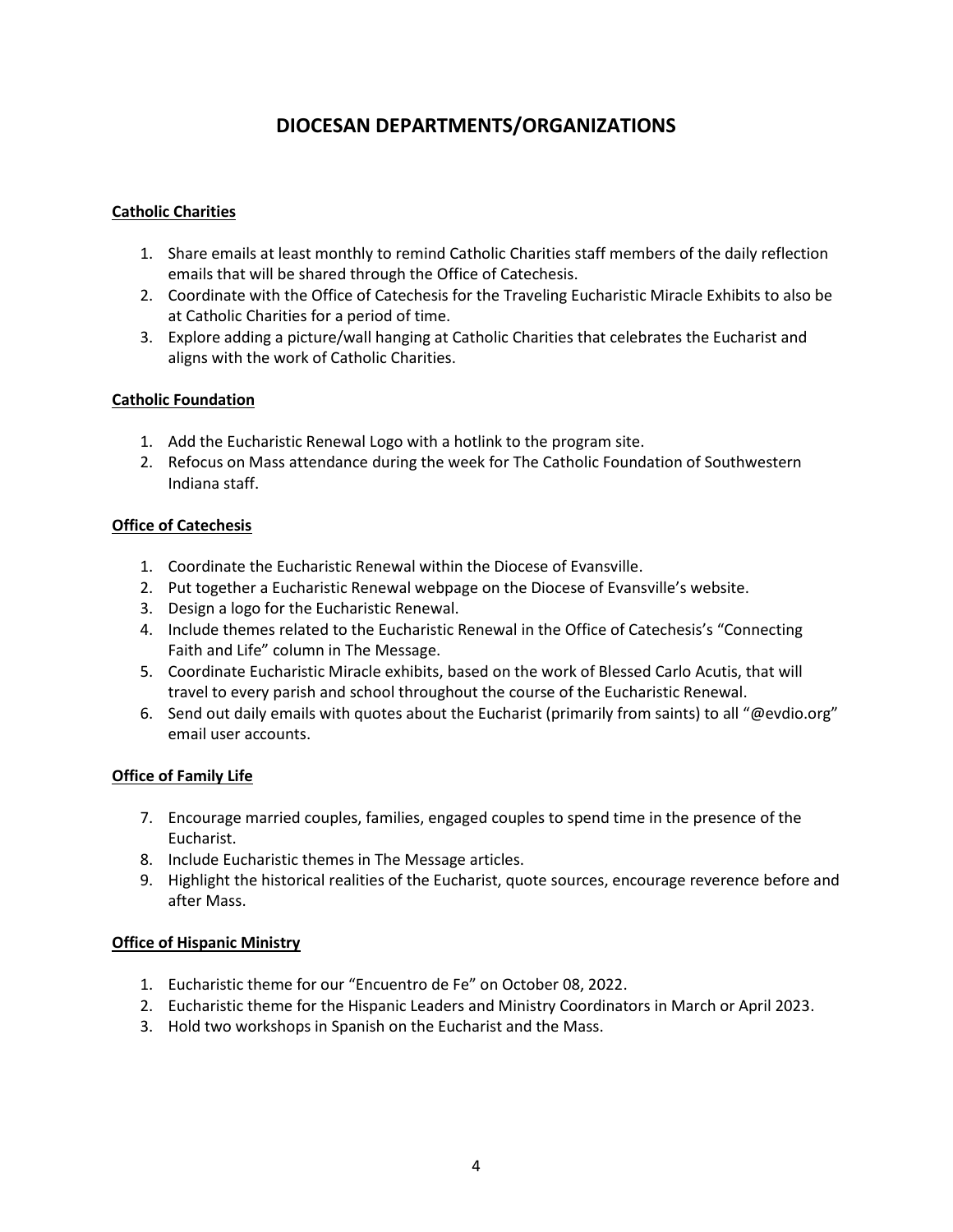# **DIOCESAN DEPARTMENTS/ORGANIZATIONS**

# <span id="page-3-0"></span>**Catholic Charities**

- 1. Share emails at least monthly to remind Catholic Charities staff members of the daily reflection emails that will be shared through the Office of Catechesis.
- 2. Coordinate with the Office of Catechesis for the Traveling Eucharistic Miracle Exhibits to also be at Catholic Charities for a period of time.
- 3. Explore adding a picture/wall hanging at Catholic Charities that celebrates the Eucharist and aligns with the work of Catholic Charities.

### <span id="page-3-1"></span>**Catholic Foundation**

- 1. Add the Eucharistic Renewal Logo with a hotlink to the program site.
- 2. Refocus on Mass attendance during the week for The Catholic Foundation of Southwestern Indiana staff.

### <span id="page-3-2"></span>**Office of Catechesis**

- 1. Coordinate the Eucharistic Renewal within the Diocese of Evansville.
- 2. Put together a Eucharistic Renewal webpage on the Diocese of Evansville's website.
- 3. Design a logo for the Eucharistic Renewal.
- 4. Include themes related to the Eucharistic Renewal in the Office of Catechesis's "Connecting Faith and Life" column in The Message.
- 5. Coordinate Eucharistic Miracle exhibits, based on the work of Blessed Carlo Acutis, that will travel to every parish and school throughout the course of the Eucharistic Renewal.
- 6. Send out daily emails with quotes about the Eucharist (primarily from saints) to all "@evdio.org" email user accounts.

### <span id="page-3-3"></span>**Office of Family Life**

- 7. Encourage married couples, families, engaged couples to spend time in the presence of the Eucharist.
- 8. Include Eucharistic themes in The Message articles.
- 9. Highlight the historical realities of the Eucharist, quote sources, encourage reverence before and after Mass.

### <span id="page-3-4"></span>**Office of Hispanic Ministry**

- 1. Eucharistic theme for our "Encuentro de Fe" on October 08, 2022.
- 2. Eucharistic theme for the Hispanic Leaders and Ministry Coordinators in March or April 2023.
- 3. Hold two workshops in Spanish on the Eucharist and the Mass.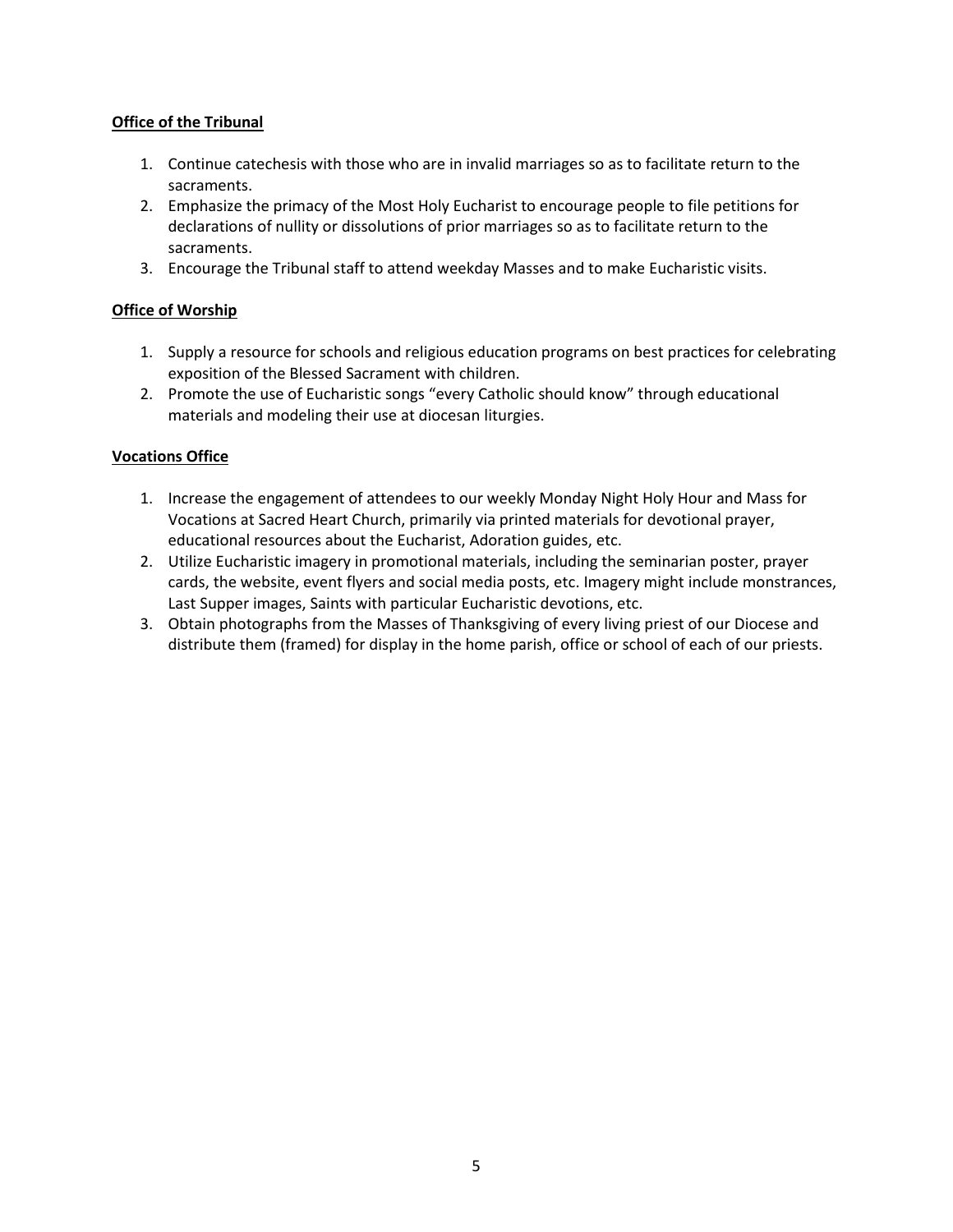## <span id="page-4-0"></span>**Office of the Tribunal**

- 1. Continue catechesis with those who are in invalid marriages so as to facilitate return to the sacraments.
- 2. Emphasize the primacy of the Most Holy Eucharist to encourage people to file petitions for declarations of nullity or dissolutions of prior marriages so as to facilitate return to the sacraments.
- 3. Encourage the Tribunal staff to attend weekday Masses and to make Eucharistic visits.

### <span id="page-4-1"></span>**Office of Worship**

- 1. Supply a resource for schools and religious education programs on best practices for celebrating exposition of the Blessed Sacrament with children.
- 2. Promote the use of Eucharistic songs "every Catholic should know" through educational materials and modeling their use at diocesan liturgies.

## <span id="page-4-2"></span>**Vocations Office**

- 1. Increase the engagement of attendees to our weekly Monday Night Holy Hour and Mass for Vocations at Sacred Heart Church, primarily via printed materials for devotional prayer, educational resources about the Eucharist, Adoration guides, etc.
- 2. Utilize Eucharistic imagery in promotional materials, including the seminarian poster, prayer cards, the website, event flyers and social media posts, etc. Imagery might include monstrances, Last Supper images, Saints with particular Eucharistic devotions, etc.
- 3. Obtain photographs from the Masses of Thanksgiving of every living priest of our Diocese and distribute them (framed) for display in the home parish, office or school of each of our priests.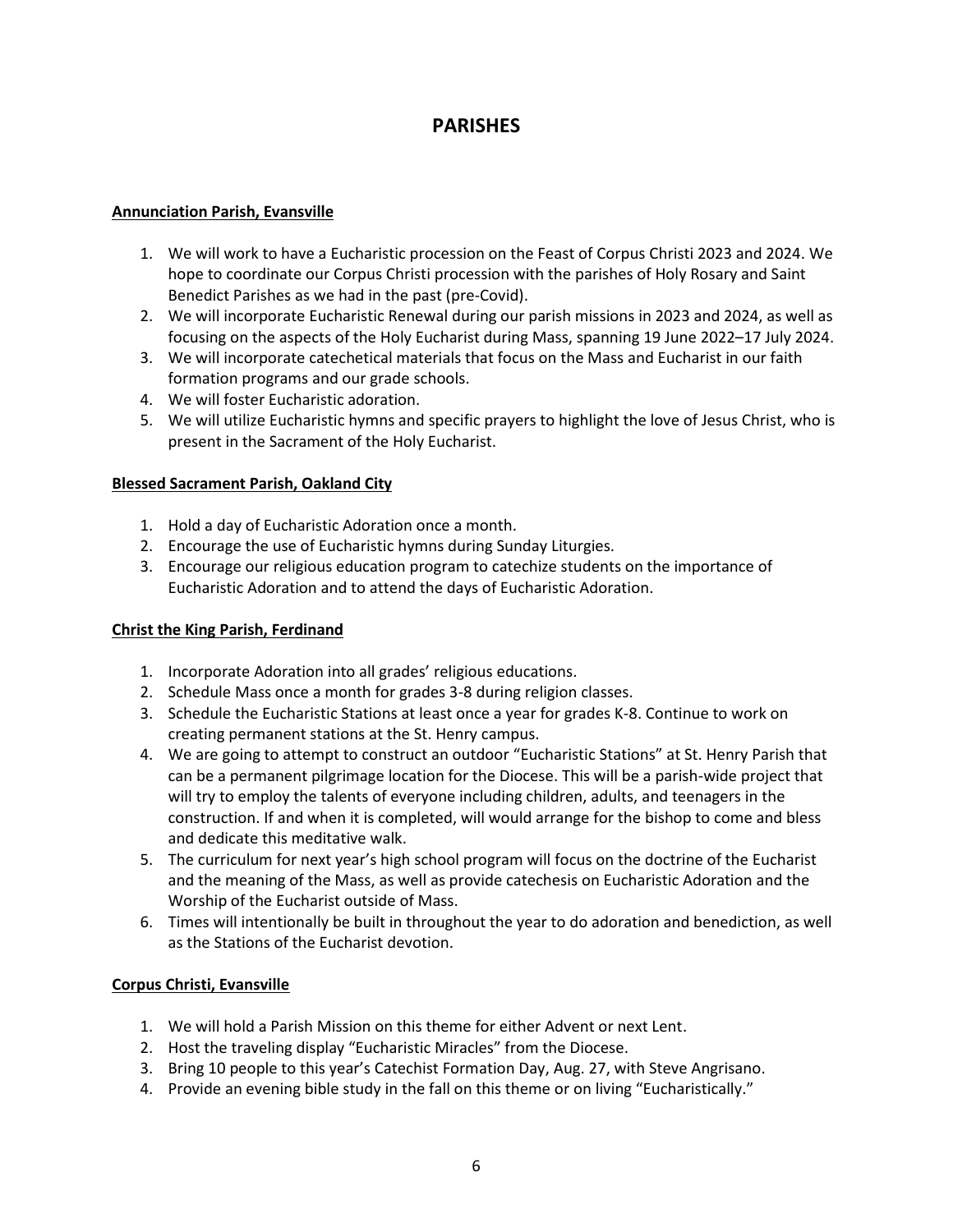# **PARISHES**

## <span id="page-5-0"></span>**Annunciation Parish, Evansville**

- 1. We will work to have a Eucharistic procession on the Feast of Corpus Christi 2023 and 2024. We hope to coordinate our Corpus Christi procession with the parishes of Holy Rosary and Saint Benedict Parishes as we had in the past (pre-Covid).
- 2. We will incorporate Eucharistic Renewal during our parish missions in 2023 and 2024, as well as focusing on the aspects of the Holy Eucharist during Mass, spanning 19 June 2022–17 July 2024.
- 3. We will incorporate catechetical materials that focus on the Mass and Eucharist in our faith formation programs and our grade schools.
- 4. We will foster Eucharistic adoration.
- 5. We will utilize Eucharistic hymns and specific prayers to highlight the love of Jesus Christ, who is present in the Sacrament of the Holy Eucharist.

## <span id="page-5-1"></span>**Blessed Sacrament Parish, Oakland City**

- 1. Hold a day of Eucharistic Adoration once a month.
- 2. Encourage the use of Eucharistic hymns during Sunday Liturgies.
- 3. Encourage our religious education program to catechize students on the importance of Eucharistic Adoration and to attend the days of Eucharistic Adoration.

### <span id="page-5-2"></span>**Christ the King Parish, Ferdinand**

- 1. Incorporate Adoration into all grades' religious educations.
- 2. Schedule Mass once a month for grades 3-8 during religion classes.
- 3. Schedule the Eucharistic Stations at least once a year for grades K-8. Continue to work on creating permanent stations at the St. Henry campus.
- 4. We are going to attempt to construct an outdoor "Eucharistic Stations" at St. Henry Parish that can be a permanent pilgrimage location for the Diocese. This will be a parish-wide project that will try to employ the talents of everyone including children, adults, and teenagers in the construction. If and when it is completed, will would arrange for the bishop to come and bless and dedicate this meditative walk.
- 5. The curriculum for next year's high school program will focus on the doctrine of the Eucharist and the meaning of the Mass, as well as provide catechesis on Eucharistic Adoration and the Worship of the Eucharist outside of Mass.
- 6. Times will intentionally be built in throughout the year to do adoration and benediction, as well as the Stations of the Eucharist devotion.

### <span id="page-5-3"></span>**Corpus Christi, Evansville**

- 1. We will hold a Parish Mission on this theme for either Advent or next Lent.
- 2. Host the traveling display "Eucharistic Miracles" from the Diocese.
- 3. Bring 10 people to this year's Catechist Formation Day, Aug. 27, with Steve Angrisano.
- 4. Provide an evening bible study in the fall on this theme or on living "Eucharistically."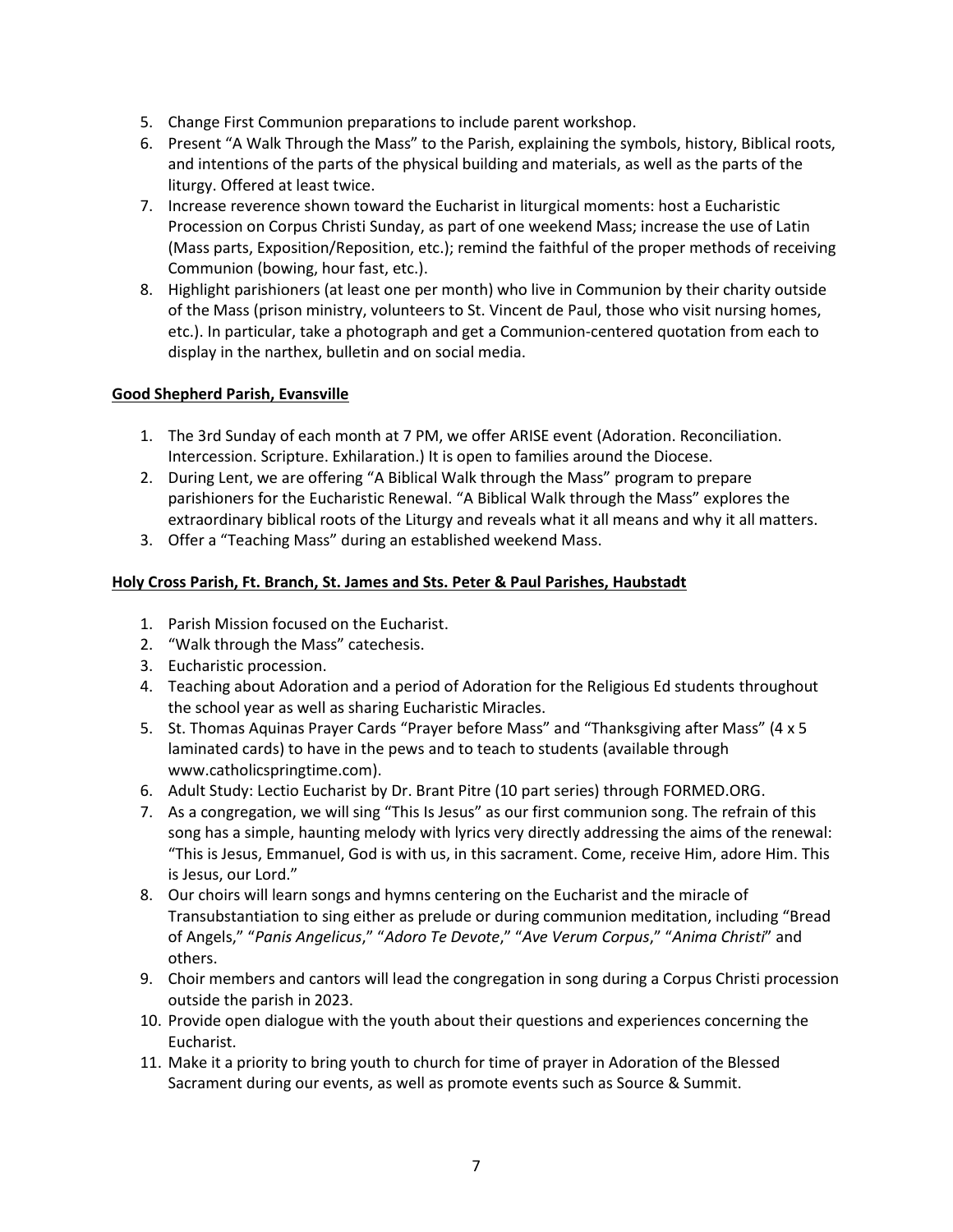- 5. Change First Communion preparations to include parent workshop.
- 6. Present "A Walk Through the Mass" to the Parish, explaining the symbols, history, Biblical roots, and intentions of the parts of the physical building and materials, as well as the parts of the liturgy. Offered at least twice.
- 7. Increase reverence shown toward the Eucharist in liturgical moments: host a Eucharistic Procession on Corpus Christi Sunday, as part of one weekend Mass; increase the use of Latin (Mass parts, Exposition/Reposition, etc.); remind the faithful of the proper methods of receiving Communion (bowing, hour fast, etc.).
- 8. Highlight parishioners (at least one per month) who live in Communion by their charity outside of the Mass (prison ministry, volunteers to St. Vincent de Paul, those who visit nursing homes, etc.). In particular, take a photograph and get a Communion-centered quotation from each to display in the narthex, bulletin and on social media.

## <span id="page-6-0"></span>**Good Shepherd Parish, Evansville**

- 1. The 3rd Sunday of each month at 7 PM, we offer ARISE event (Adoration. Reconciliation. Intercession. Scripture. Exhilaration.) It is open to families around the Diocese.
- 2. During Lent, we are offering "A Biblical Walk through the Mass" program to prepare parishioners for the Eucharistic Renewal. "A Biblical Walk through the Mass" explores the extraordinary biblical roots of the Liturgy and reveals what it all means and why it all matters.
- 3. Offer a "Teaching Mass" during an established weekend Mass.

## <span id="page-6-1"></span>**Holy Cross Parish, Ft. Branch, St. James and Sts. Peter & Paul Parishes, Haubstadt**

- 1. Parish Mission focused on the Eucharist.
- 2. "Walk through the Mass" catechesis.
- 3. Eucharistic procession.
- 4. Teaching about Adoration and a period of Adoration for the Religious Ed students throughout the school year as well as sharing Eucharistic Miracles.
- 5. St. Thomas Aquinas Prayer Cards "Prayer before Mass" and "Thanksgiving after Mass" (4 x 5 laminated cards) to have in the pews and to teach to students (available through www.catholicspringtime.com).
- 6. Adult Study: Lectio Eucharist by Dr. Brant Pitre (10 part series) through FORMED.ORG.
- 7. As a congregation, we will sing "This Is Jesus" as our first communion song. The refrain of this song has a simple, haunting melody with lyrics very directly addressing the aims of the renewal: "This is Jesus, Emmanuel, God is with us, in this sacrament. Come, receive Him, adore Him. This is Jesus, our Lord."
- 8. Our choirs will learn songs and hymns centering on the Eucharist and the miracle of Transubstantiation to sing either as prelude or during communion meditation, including "Bread of Angels," "*Panis Angelicus*," "*Adoro Te Devote*," "*Ave Verum Corpus*," "*Anima Christi*" and others.
- 9. Choir members and cantors will lead the congregation in song during a Corpus Christi procession outside the parish in 2023.
- 10. Provide open dialogue with the youth about their questions and experiences concerning the Eucharist.
- 11. Make it a priority to bring youth to church for time of prayer in Adoration of the Blessed Sacrament during our events, as well as promote events such as Source & Summit.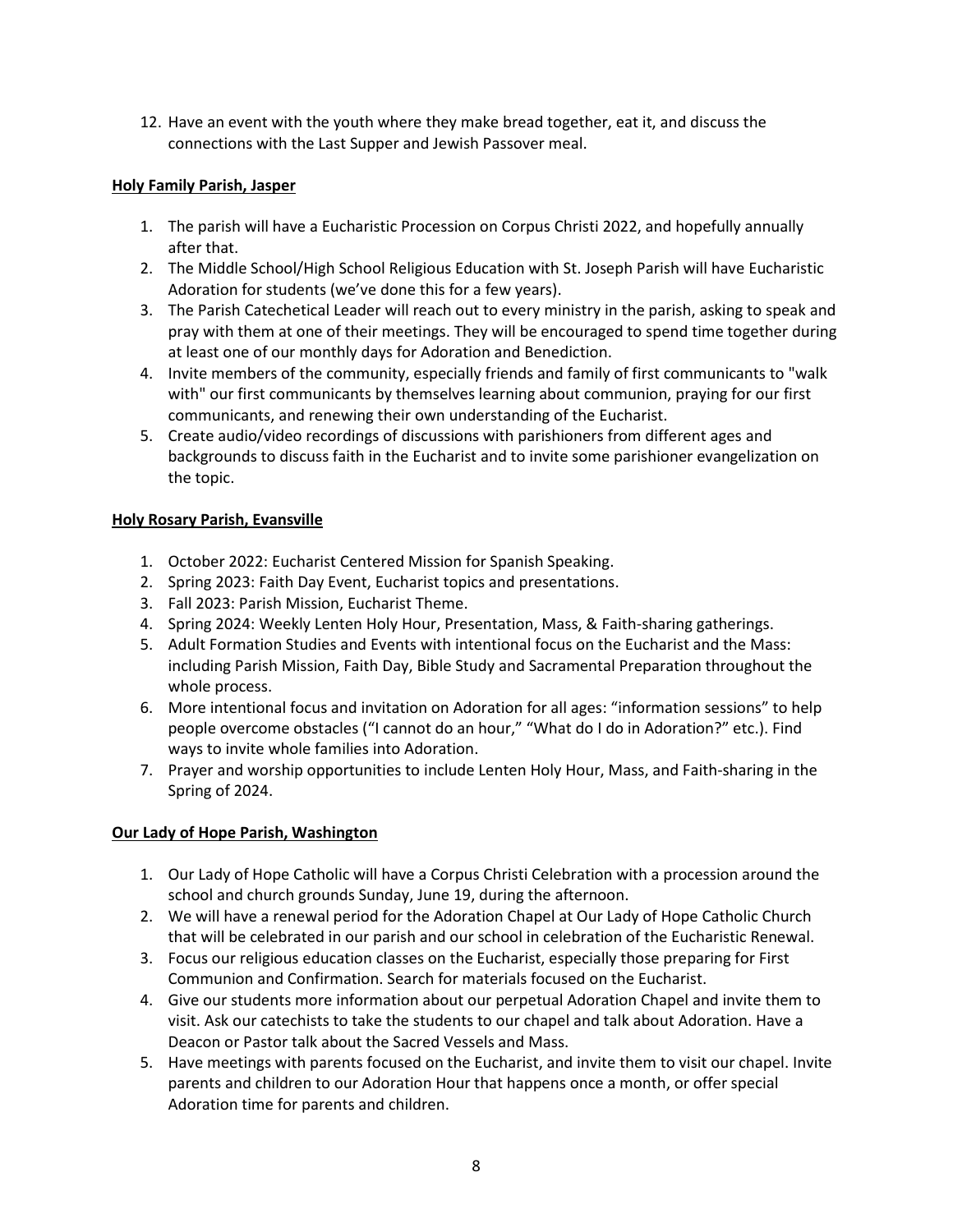12. Have an event with the youth where they make bread together, eat it, and discuss the connections with the Last Supper and Jewish Passover meal.

### <span id="page-7-0"></span>**Holy Family Parish, Jasper**

- 1. The parish will have a Eucharistic Procession on Corpus Christi 2022, and hopefully annually after that.
- 2. The Middle School/High School Religious Education with St. Joseph Parish will have Eucharistic Adoration for students (we've done this for a few years).
- 3. The Parish Catechetical Leader will reach out to every ministry in the parish, asking to speak and pray with them at one of their meetings. They will be encouraged to spend time together during at least one of our monthly days for Adoration and Benediction.
- 4. Invite members of the community, especially friends and family of first communicants to "walk with" our first communicants by themselves learning about communion, praying for our first communicants, and renewing their own understanding of the Eucharist.
- 5. Create audio/video recordings of discussions with parishioners from different ages and backgrounds to discuss faith in the Eucharist and to invite some parishioner evangelization on the topic.

# <span id="page-7-1"></span>**Holy Rosary Parish, Evansville**

- 1. October 2022: Eucharist Centered Mission for Spanish Speaking.
- 2. Spring 2023: Faith Day Event, Eucharist topics and presentations.
- 3. Fall 2023: Parish Mission, Eucharist Theme.
- 4. Spring 2024: Weekly Lenten Holy Hour, Presentation, Mass, & Faith-sharing gatherings.
- 5. Adult Formation Studies and Events with intentional focus on the Eucharist and the Mass: including Parish Mission, Faith Day, Bible Study and Sacramental Preparation throughout the whole process.
- 6. More intentional focus and invitation on Adoration for all ages: "information sessions" to help people overcome obstacles ("I cannot do an hour," "What do I do in Adoration?" etc.). Find ways to invite whole families into Adoration.
- 7. Prayer and worship opportunities to include Lenten Holy Hour, Mass, and Faith-sharing in the Spring of 2024.

# <span id="page-7-2"></span>**Our Lady of Hope Parish, Washington**

- 1. Our Lady of Hope Catholic will have a Corpus Christi Celebration with a procession around the school and church grounds Sunday, June 19, during the afternoon.
- 2. We will have a renewal period for the Adoration Chapel at Our Lady of Hope Catholic Church that will be celebrated in our parish and our school in celebration of the Eucharistic Renewal.
- 3. Focus our religious education classes on the Eucharist, especially those preparing for First Communion and Confirmation. Search for materials focused on the Eucharist.
- 4. Give our students more information about our perpetual Adoration Chapel and invite them to visit. Ask our catechists to take the students to our chapel and talk about Adoration. Have a Deacon or Pastor talk about the Sacred Vessels and Mass.
- 5. Have meetings with parents focused on the Eucharist, and invite them to visit our chapel. Invite parents and children to our Adoration Hour that happens once a month, or offer special Adoration time for parents and children.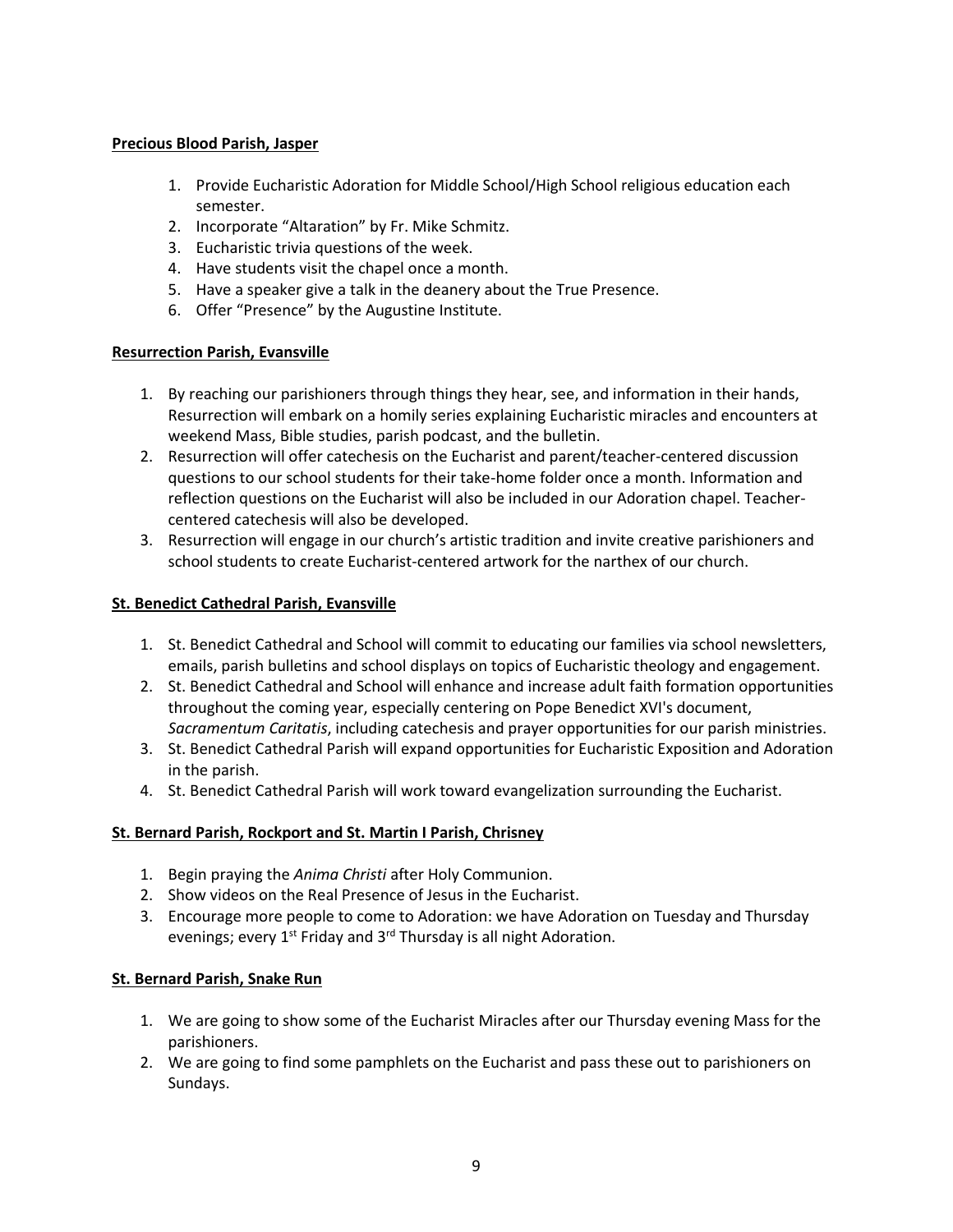## <span id="page-8-0"></span>**Precious Blood Parish, Jasper**

- 1. Provide Eucharistic Adoration for Middle School/High School religious education each semester.
- 2. Incorporate "Altaration" by Fr. Mike Schmitz.
- 3. Eucharistic trivia questions of the week.
- 4. Have students visit the chapel once a month.
- 5. Have a speaker give a talk in the deanery about the True Presence.
- 6. Offer "Presence" by the Augustine Institute.

### <span id="page-8-1"></span>**Resurrection Parish, Evansville**

- 1. By reaching our parishioners through things they hear, see, and information in their hands, Resurrection will embark on a homily series explaining Eucharistic miracles and encounters at weekend Mass, Bible studies, parish podcast, and the bulletin.
- 2. Resurrection will offer catechesis on the Eucharist and parent/teacher-centered discussion questions to our school students for their take-home folder once a month. Information and reflection questions on the Eucharist will also be included in our Adoration chapel. Teachercentered catechesis will also be developed.
- 3. Resurrection will engage in our church's artistic tradition and invite creative parishioners and school students to create Eucharist-centered artwork for the narthex of our church.

### <span id="page-8-2"></span>**St. Benedict Cathedral Parish, Evansville**

- 1. St. Benedict Cathedral and School will commit to educating our families via school newsletters, emails, parish bulletins and school displays on topics of Eucharistic theology and engagement.
- 2. St. Benedict Cathedral and School will enhance and increase adult faith formation opportunities throughout the coming year, especially centering on Pope Benedict XVI's document, *Sacramentum Caritatis*, including catechesis and prayer opportunities for our parish ministries.
- 3. St. Benedict Cathedral Parish will expand opportunities for Eucharistic Exposition and Adoration in the parish.
- 4. St. Benedict Cathedral Parish will work toward evangelization surrounding the Eucharist.

### <span id="page-8-3"></span>**St. Bernard Parish, Rockport and St. Martin I Parish, Chrisney**

- 1. Begin praying the *Anima Christi* after Holy Communion.
- 2. Show videos on the Real Presence of Jesus in the Eucharist.
- 3. Encourage more people to come to Adoration: we have Adoration on Tuesday and Thursday evenings; every  $1^{st}$  Friday and  $3^{rd}$  Thursday is all night Adoration.

### <span id="page-8-5"></span><span id="page-8-4"></span>**St. Bernard Parish, Snake Run**

- 1. We are going to show some of the Eucharist Miracles after our Thursday evening Mass for the parishioners.
- 2. We are going to find some pamphlets on the Eucharist and pass these out to parishioners on Sundays.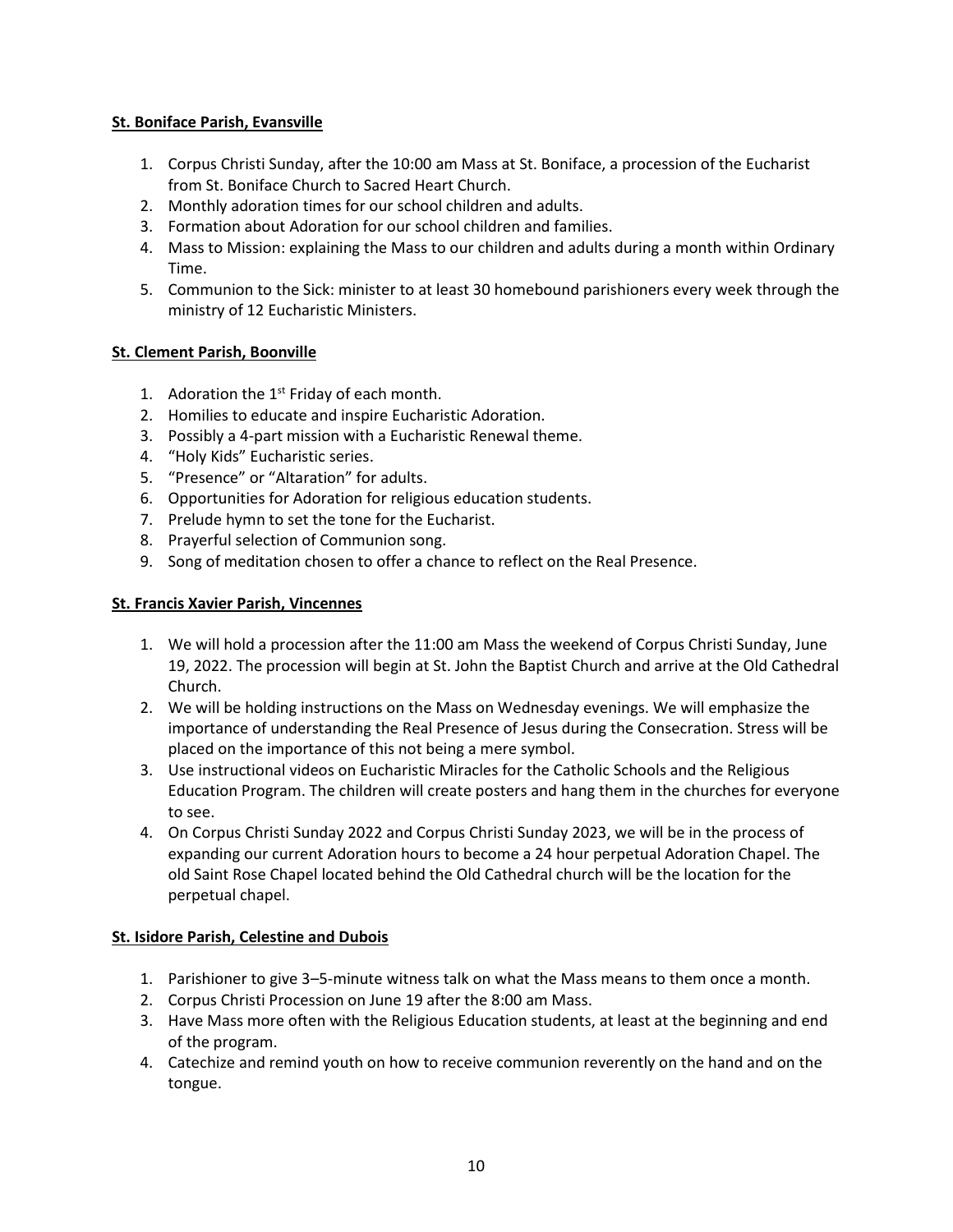## **St. Boniface Parish, Evansville**

- 1. Corpus Christi Sunday, after the 10:00 am Mass at St. Boniface, a procession of the Eucharist from St. Boniface Church to Sacred Heart Church.
- 2. Monthly adoration times for our school children and adults.
- 3. Formation about Adoration for our school children and families.
- 4. Mass to Mission: explaining the Mass to our children and adults during a month within Ordinary Time.
- 5. Communion to the Sick: minister to at least 30 homebound parishioners every week through the ministry of 12 Eucharistic Ministers.

## <span id="page-9-0"></span>**St. Clement Parish, Boonville**

- 1. Adoration the  $1<sup>st</sup>$  Friday of each month.
- 2. Homilies to educate and inspire Eucharistic Adoration.
- 3. Possibly a 4-part mission with a Eucharistic Renewal theme.
- 4. "Holy Kids" Eucharistic series.
- 5. "Presence" or "Altaration" for adults.
- 6. Opportunities for Adoration for religious education students.
- 7. Prelude hymn to set the tone for the Eucharist.
- 8. Prayerful selection of Communion song.
- 9. Song of meditation chosen to offer a chance to reflect on the Real Presence.

### <span id="page-9-1"></span>**St. Francis Xavier Parish, Vincennes**

- 1. We will hold a procession after the 11:00 am Mass the weekend of Corpus Christi Sunday, June 19, 2022. The procession will begin at St. John the Baptist Church and arrive at the Old Cathedral Church.
- 2. We will be holding instructions on the Mass on Wednesday evenings. We will emphasize the importance of understanding the Real Presence of Jesus during the Consecration. Stress will be placed on the importance of this not being a mere symbol.
- 3. Use instructional videos on Eucharistic Miracles for the Catholic Schools and the Religious Education Program. The children will create posters and hang them in the churches for everyone to see.
- 4. On Corpus Christi Sunday 2022 and Corpus Christi Sunday 2023, we will be in the process of expanding our current Adoration hours to become a 24 hour perpetual Adoration Chapel. The old Saint Rose Chapel located behind the Old Cathedral church will be the location for the perpetual chapel.

### <span id="page-9-3"></span><span id="page-9-2"></span>**St. Isidore Parish, Celestine and Dubois**

- 1. Parishioner to give 3–5-minute witness talk on what the Mass means to them once a month.
- 2. Corpus Christi Procession on June 19 after the 8:00 am Mass.
- 3. Have Mass more often with the Religious Education students, at least at the beginning and end of the program.
- 4. Catechize and remind youth on how to receive communion reverently on the hand and on the tongue.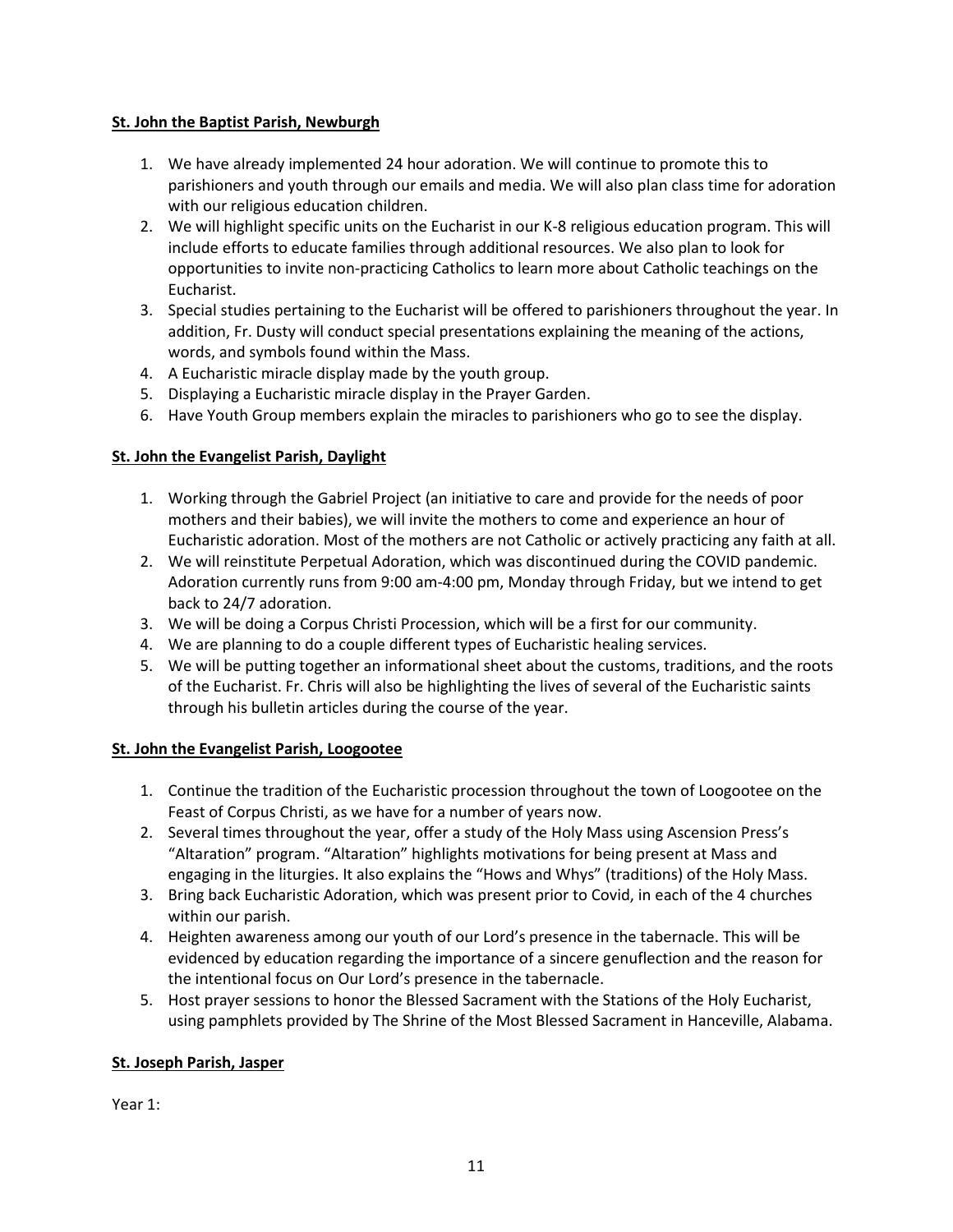## **St. John the Baptist Parish, Newburgh**

- 1. We have already implemented 24 hour adoration. We will continue to promote this to parishioners and youth through our emails and media. We will also plan class time for adoration with our religious education children.
- 2. We will highlight specific units on the Eucharist in our K-8 religious education program. This will include efforts to educate families through additional resources. We also plan to look for opportunities to invite non-practicing Catholics to learn more about Catholic teachings on the Eucharist.
- 3. Special studies pertaining to the Eucharist will be offered to parishioners throughout the year. In addition, Fr. Dusty will conduct special presentations explaining the meaning of the actions, words, and symbols found within the Mass.
- 4. A Eucharistic miracle display made by the youth group.
- 5. Displaying a Eucharistic miracle display in the Prayer Garden.
- 6. Have Youth Group members explain the miracles to parishioners who go to see the display.

# <span id="page-10-0"></span>**St. John the Evangelist Parish, Daylight**

- 1. Working through the Gabriel Project (an initiative to care and provide for the needs of poor mothers and their babies), we will invite the mothers to come and experience an hour of Eucharistic adoration. Most of the mothers are not Catholic or actively practicing any faith at all.
- 2. We will reinstitute Perpetual Adoration, which was discontinued during the COVID pandemic. Adoration currently runs from 9:00 am-4:00 pm, Monday through Friday, but we intend to get back to 24/7 adoration.
- 3. We will be doing a Corpus Christi Procession, which will be a first for our community.
- 4. We are planning to do a couple different types of Eucharistic healing services.
- 5. We will be putting together an informational sheet about the customs, traditions, and the roots of the Eucharist. Fr. Chris will also be highlighting the lives of several of the Eucharistic saints through his bulletin articles during the course of the year.

# **St. John the Evangelist Parish, Loogootee**

- <span id="page-10-1"></span>1. Continue the tradition of the Eucharistic procession throughout the town of Loogootee on the Feast of Corpus Christi, as we have for a number of years now.
- 2. Several times throughout the year, offer a study of the Holy Mass using Ascension Press's "Altaration" program. "Altaration" highlights motivations for being present at Mass and engaging in the liturgies. It also explains the "Hows and Whys" (traditions) of the Holy Mass.
- 3. Bring back Eucharistic Adoration, which was present prior to Covid, in each of the 4 churches within our parish.
- 4. Heighten awareness among our youth of our Lord's presence in the tabernacle. This will be evidenced by education regarding the importance of a sincere genuflection and the reason for the intentional focus on Our Lord's presence in the tabernacle.
- 5. Host prayer sessions to honor the Blessed Sacrament with the Stations of the Holy Eucharist, using pamphlets provided by The Shrine of the Most Blessed Sacrament in Hanceville, Alabama.

# <span id="page-10-2"></span>**St. Joseph Parish, Jasper**

Year 1: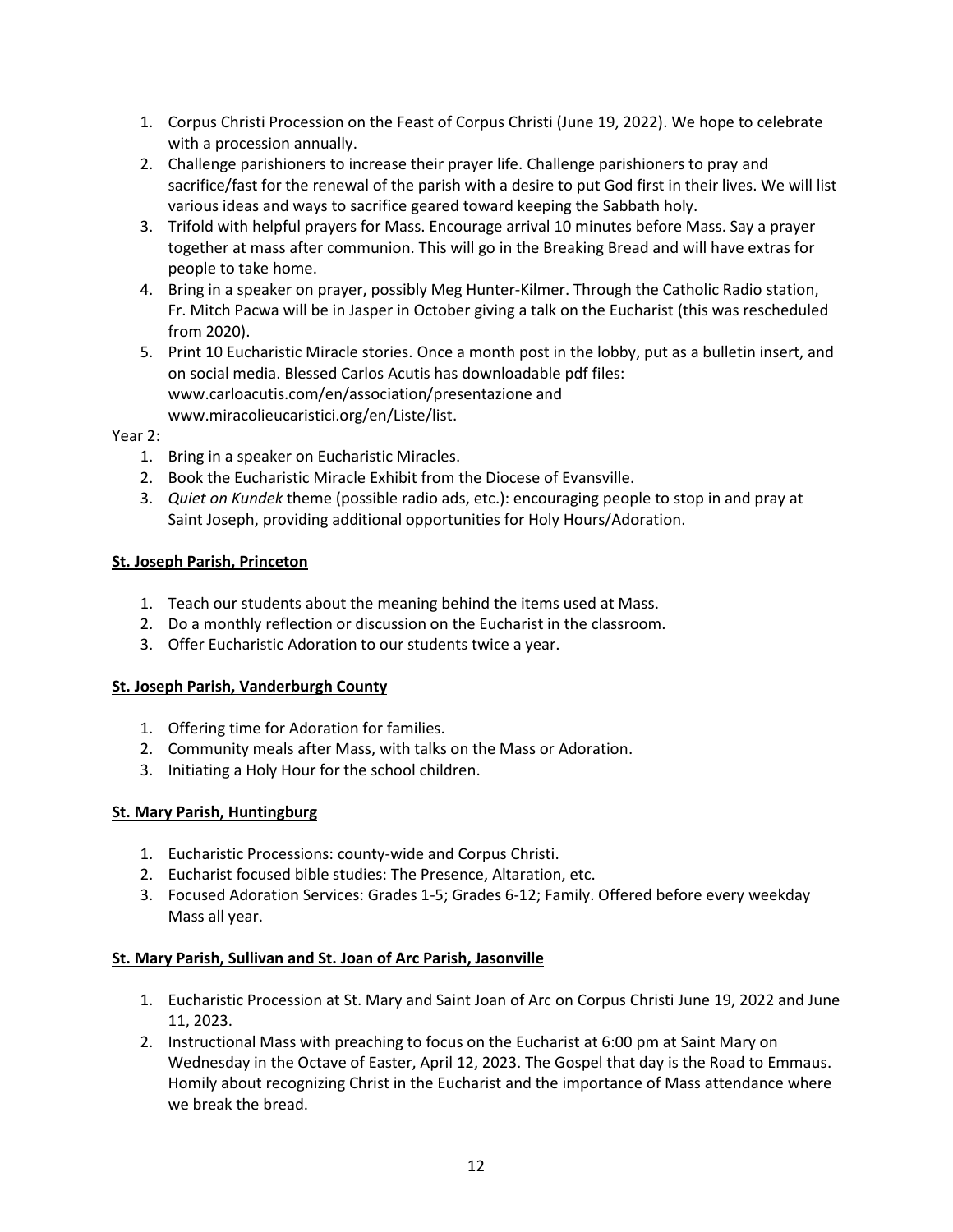- 1. Corpus Christi Procession on the Feast of Corpus Christi (June 19, 2022). We hope to celebrate with a procession annually.
- 2. Challenge parishioners to increase their prayer life. Challenge parishioners to pray and sacrifice/fast for the renewal of the parish with a desire to put God first in their lives. We will list various ideas and ways to sacrifice geared toward keeping the Sabbath holy.
- 3. Trifold with helpful prayers for Mass. Encourage arrival 10 minutes before Mass. Say a prayer together at mass after communion. This will go in the Breaking Bread and will have extras for people to take home.
- 4. Bring in a speaker on prayer, possibly Meg Hunter-Kilmer. Through the Catholic Radio station, Fr. Mitch Pacwa will be in Jasper in October giving a talk on the Eucharist (this was rescheduled from 2020).
- 5. Print 10 Eucharistic Miracle stories. Once a month post in the lobby, put as a bulletin insert, and on social media. Blessed Carlos Acutis has downloadable pdf files: www.carloacutis.com/en/association/presentazione and www.miracolieucaristici.org/en/Liste/list.

## Year 2:

- 1. Bring in a speaker on Eucharistic Miracles.
- 2. Book the Eucharistic Miracle Exhibit from the Diocese of Evansville.
- 3. *Quiet on Kundek* theme (possible radio ads, etc.): encouraging people to stop in and pray at Saint Joseph, providing additional opportunities for Holy Hours/Adoration.

# <span id="page-11-0"></span>**St. Joseph Parish, Princeton**

- 1. Teach our students about the meaning behind the items used at Mass.
- 2. Do a monthly reflection or discussion on the Eucharist in the classroom.
- 3. Offer Eucharistic Adoration to our students twice a year.

### **St. Joseph Parish, Vanderburgh County**

- <span id="page-11-1"></span>1. Offering time for Adoration for families.
- 2. Community meals after Mass, with talks on the Mass or Adoration.
- 3. Initiating a Holy Hour for the school children.

# **St. Mary Parish, Huntingburg**

- <span id="page-11-2"></span>1. Eucharistic Processions: county-wide and Corpus Christi.
- 2. Eucharist focused bible studies: The Presence, Altaration, etc.
- 3. Focused Adoration Services: Grades 1-5; Grades 6-12; Family. Offered before every weekday Mass all year.

### **St. Mary Parish, Sullivan and St. Joan of Arc Parish, Jasonville**

- <span id="page-11-3"></span>1. Eucharistic Procession at St. Mary and Saint Joan of Arc on Corpus Christi June 19, 2022 and June 11, 2023.
- 2. Instructional Mass with preaching to focus on the Eucharist at 6:00 pm at Saint Mary on Wednesday in the Octave of Easter, April 12, 2023. The Gospel that day is the Road to Emmaus. Homily about recognizing Christ in the Eucharist and the importance of Mass attendance where we break the bread.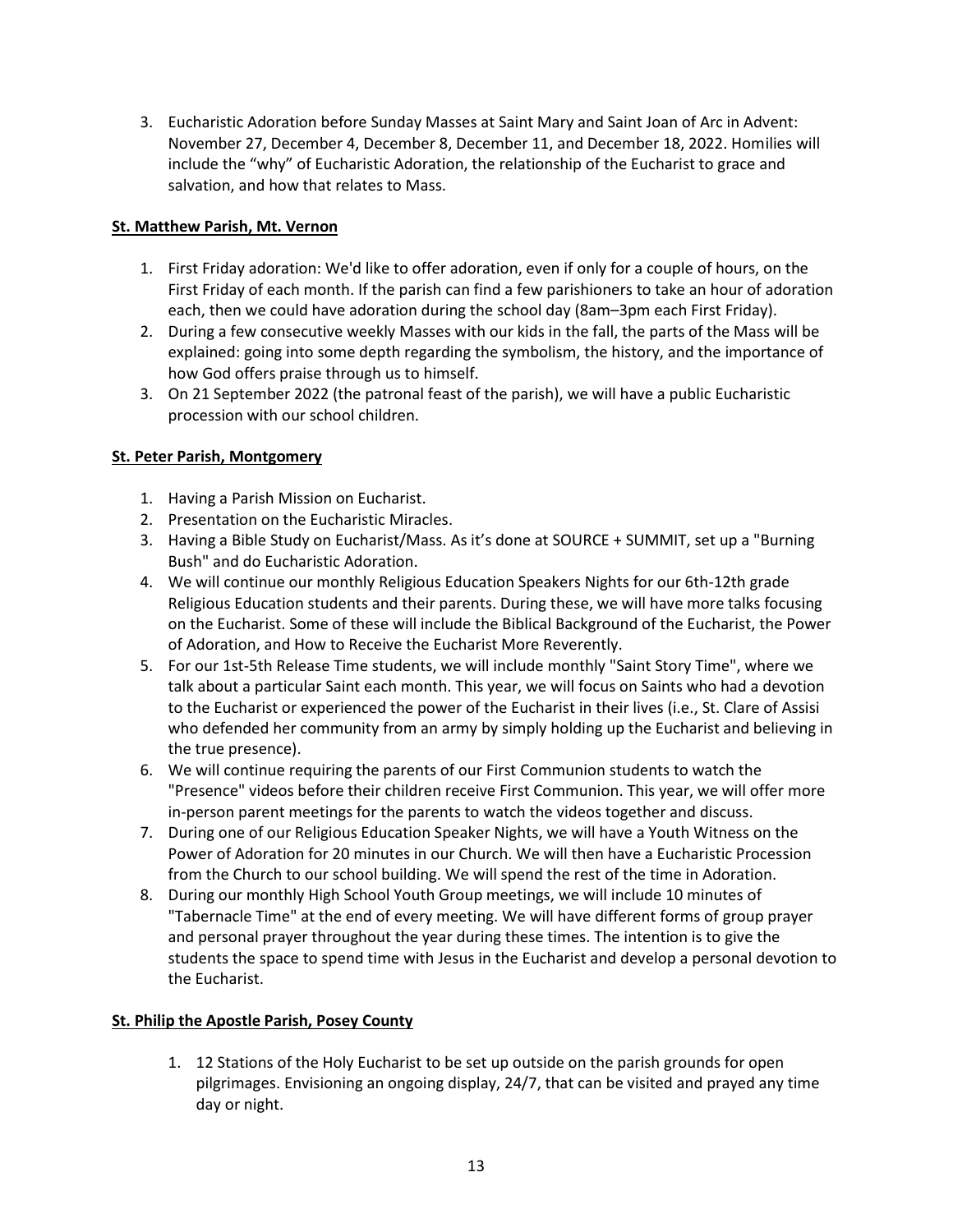3. Eucharistic Adoration before Sunday Masses at Saint Mary and Saint Joan of Arc in Advent: November 27, December 4, December 8, December 11, and December 18, 2022. Homilies will include the "why" of Eucharistic Adoration, the relationship of the Eucharist to grace and salvation, and how that relates to Mass.

# <span id="page-12-0"></span>**St. Matthew Parish, Mt. Vernon**

- 1. First Friday adoration: We'd like to offer adoration, even if only for a couple of hours, on the First Friday of each month. If the parish can find a few parishioners to take an hour of adoration each, then we could have adoration during the school day (8am–3pm each First Friday).
- 2. During a few consecutive weekly Masses with our kids in the fall, the parts of the Mass will be explained: going into some depth regarding the symbolism, the history, and the importance of how God offers praise through us to himself.
- 3. On 21 September 2022 (the patronal feast of the parish), we will have a public Eucharistic procession with our school children.

# **St. Peter Parish, Montgomery**

- <span id="page-12-1"></span>1. Having a Parish Mission on Eucharist.
- 2. Presentation on the Eucharistic Miracles.
- 3. Having a Bible Study on Eucharist/Mass. As it's done at SOURCE + SUMMIT, set up a "Burning Bush" and do Eucharistic Adoration.
- 4. We will continue our monthly Religious Education Speakers Nights for our 6th-12th grade Religious Education students and their parents. During these, we will have more talks focusing on the Eucharist. Some of these will include the Biblical Background of the Eucharist, the Power of Adoration, and How to Receive the Eucharist More Reverently.
- 5. For our 1st-5th Release Time students, we will include monthly "Saint Story Time", where we talk about a particular Saint each month. This year, we will focus on Saints who had a devotion to the Eucharist or experienced the power of the Eucharist in their lives (i.e., St. Clare of Assisi who defended her community from an army by simply holding up the Eucharist and believing in the true presence).
- 6. We will continue requiring the parents of our First Communion students to watch the "Presence" videos before their children receive First Communion. This year, we will offer more in-person parent meetings for the parents to watch the videos together and discuss.
- 7. During one of our Religious Education Speaker Nights, we will have a Youth Witness on the Power of Adoration for 20 minutes in our Church. We will then have a Eucharistic Procession from the Church to our school building. We will spend the rest of the time in Adoration.
- 8. During our monthly High School Youth Group meetings, we will include 10 minutes of "Tabernacle Time" at the end of every meeting. We will have different forms of group prayer and personal prayer throughout the year during these times. The intention is to give the students the space to spend time with Jesus in the Eucharist and develop a personal devotion to the Eucharist.

# <span id="page-12-2"></span>**St. Philip the Apostle Parish, Posey County**

1. 12 Stations of the Holy Eucharist to be set up outside on the parish grounds for open pilgrimages. Envisioning an ongoing display, 24/7, that can be visited and prayed any time day or night.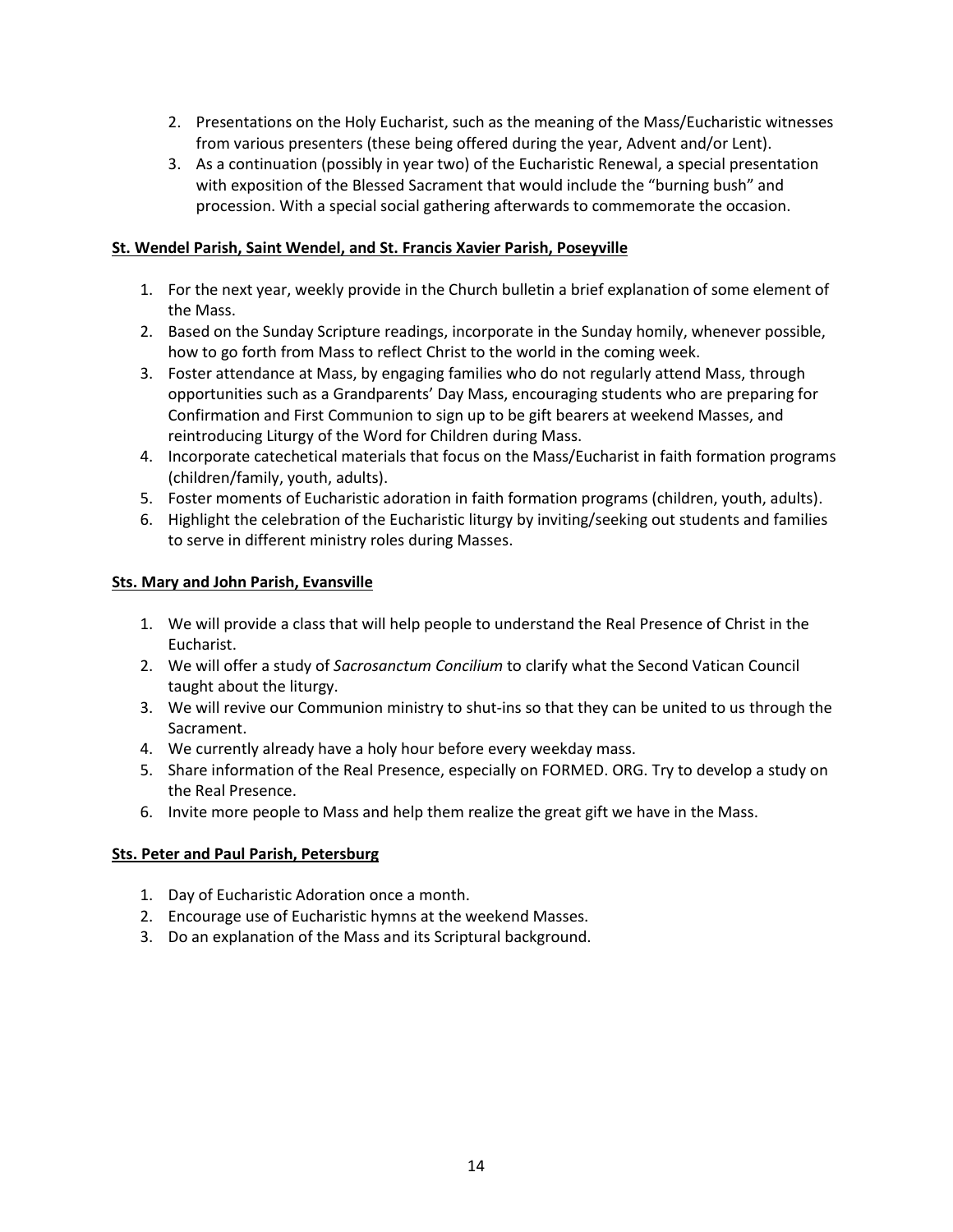- 2. Presentations on the Holy Eucharist, such as the meaning of the Mass/Eucharistic witnesses from various presenters (these being offered during the year, Advent and/or Lent).
- 3. As a continuation (possibly in year two) of the Eucharistic Renewal, a special presentation with exposition of the Blessed Sacrament that would include the "burning bush" and procession. With a special social gathering afterwards to commemorate the occasion.

## <span id="page-13-0"></span>**St. Wendel Parish, Saint Wendel, and St. Francis Xavier Parish, Poseyville**

- 1. For the next year, weekly provide in the Church bulletin a brief explanation of some element of the Mass.
- 2. Based on the Sunday Scripture readings, incorporate in the Sunday homily, whenever possible, how to go forth from Mass to reflect Christ to the world in the coming week.
- 3. Foster attendance at Mass, by engaging families who do not regularly attend Mass, through opportunities such as a Grandparents' Day Mass, encouraging students who are preparing for Confirmation and First Communion to sign up to be gift bearers at weekend Masses, and reintroducing Liturgy of the Word for Children during Mass.
- 4. Incorporate catechetical materials that focus on the Mass/Eucharist in faith formation programs (children/family, youth, adults).
- 5. Foster moments of Eucharistic adoration in faith formation programs (children, youth, adults).
- 6. Highlight the celebration of the Eucharistic liturgy by inviting/seeking out students and families to serve in different ministry roles during Masses.

## <span id="page-13-1"></span>**Sts. Mary and John Parish, Evansville**

- 1. We will provide a class that will help people to understand the Real Presence of Christ in the Eucharist.
- 2. We will offer a study of *Sacrosanctum Concilium* to clarify what the Second Vatican Council taught about the liturgy.
- 3. We will revive our Communion ministry to shut-ins so that they can be united to us through the Sacrament.
- 4. We currently already have a holy hour before every weekday mass.
- 5. Share information of the Real Presence, especially on FORMED. ORG. Try to develop a study on the Real Presence.
- 6. Invite more people to Mass and help them realize the great gift we have in the Mass.

# <span id="page-13-2"></span>**Sts. Peter and Paul Parish, Petersburg**

- 1. Day of Eucharistic Adoration once a month.
- 2. Encourage use of Eucharistic hymns at the weekend Masses.
- 3. Do an explanation of the Mass and its Scriptural background.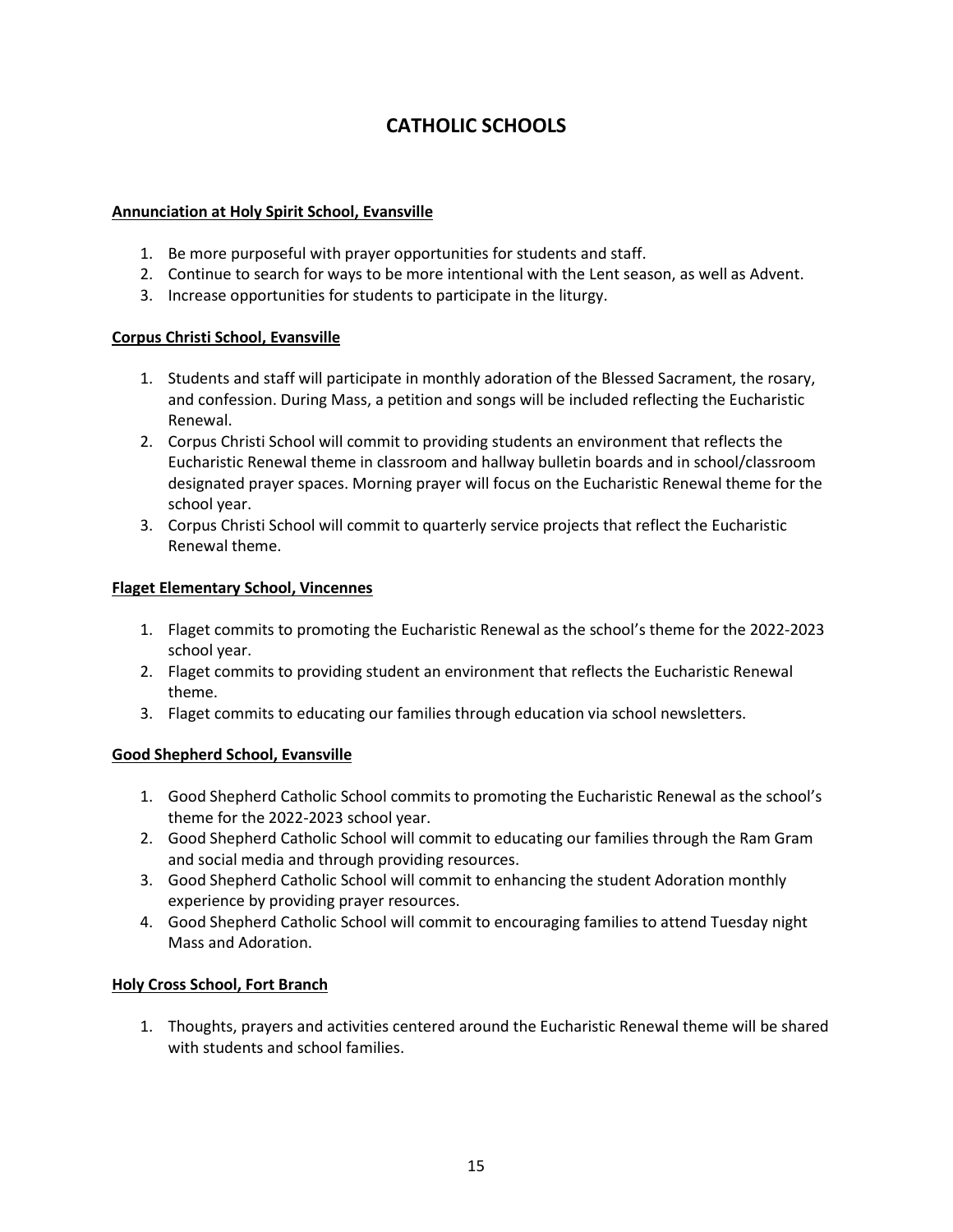# **CATHOLIC SCHOOLS**

## <span id="page-14-0"></span>**Annunciation at Holy Spirit School, Evansville**

- 1. Be more purposeful with prayer opportunities for students and staff.
- 2. Continue to search for ways to be more intentional with the Lent season, as well as Advent.
- 3. Increase opportunities for students to participate in the liturgy.

# <span id="page-14-1"></span>**Corpus Christi School, Evansville**

- 1. Students and staff will participate in monthly adoration of the Blessed Sacrament, the rosary, and confession. During Mass, a petition and songs will be included reflecting the Eucharistic Renewal.
- 2. Corpus Christi School will commit to providing students an environment that reflects the Eucharistic Renewal theme in classroom and hallway bulletin boards and in school/classroom designated prayer spaces. Morning prayer will focus on the Eucharistic Renewal theme for the school year.
- 3. Corpus Christi School will commit to quarterly service projects that reflect the Eucharistic Renewal theme.

# <span id="page-14-2"></span>**Flaget Elementary School, Vincennes**

- 1. Flaget commits to promoting the Eucharistic Renewal as the school's theme for the 2022-2023 school year.
- 2. Flaget commits to providing student an environment that reflects the Eucharistic Renewal theme.
- 3. Flaget commits to educating our families through education via school newsletters.

# <span id="page-14-3"></span>**Good Shepherd School, Evansville**

- 1. Good Shepherd Catholic School commits to promoting the Eucharistic Renewal as the school's theme for the 2022-2023 school year.
- 2. Good Shepherd Catholic School will commit to educating our families through the Ram Gram and social media and through providing resources.
- 3. Good Shepherd Catholic School will commit to enhancing the student Adoration monthly experience by providing prayer resources.
- 4. Good Shepherd Catholic School will commit to encouraging families to attend Tuesday night Mass and Adoration.

# <span id="page-14-4"></span>**Holy Cross School, Fort Branch**

1. Thoughts, prayers and activities centered around the Eucharistic Renewal theme will be shared with students and school families.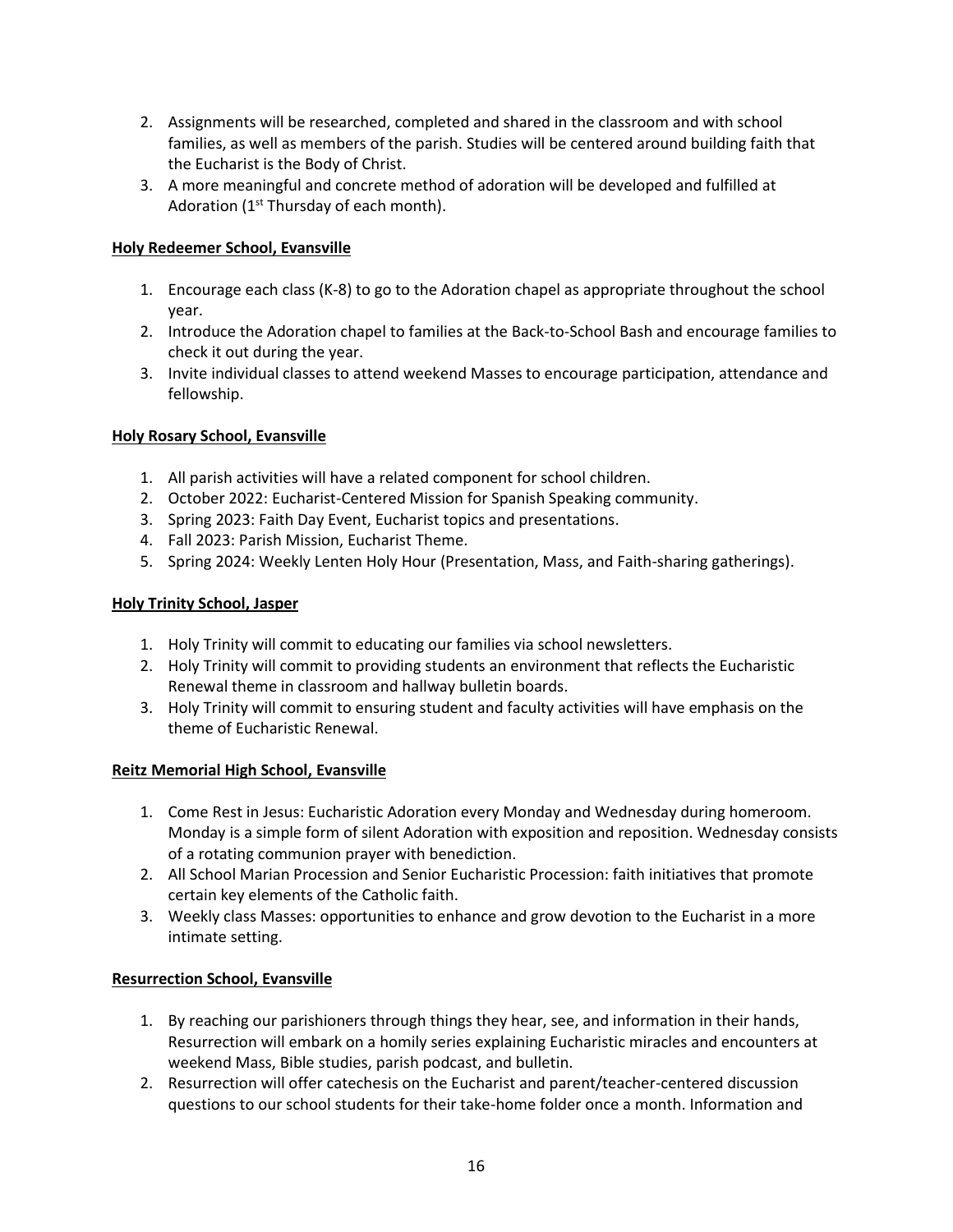- 2. Assignments will be researched, completed and shared in the classroom and with school families, as well as members of the parish. Studies will be centered around building faith that the Eucharist is the Body of Christ.
- 3. A more meaningful and concrete method of adoration will be developed and fulfilled at Adoration  $(1<sup>st</sup> Thursday of each month).$

# <span id="page-15-0"></span>**Holy Redeemer School, Evansville**

- 1. Encourage each class (K-8) to go to the Adoration chapel as appropriate throughout the school year.
- 2. Introduce the Adoration chapel to families at the Back-to-School Bash and encourage families to check it out during the year.
- 3. Invite individual classes to attend weekend Masses to encourage participation, attendance and fellowship.

## <span id="page-15-1"></span>**Holy Rosary School, Evansville**

- 1. All parish activities will have a related component for school children.
- 2. October 2022: Eucharist-Centered Mission for Spanish Speaking community.
- 3. Spring 2023: Faith Day Event, Eucharist topics and presentations.
- 4. Fall 2023: Parish Mission, Eucharist Theme.
- 5. Spring 2024: Weekly Lenten Holy Hour (Presentation, Mass, and Faith-sharing gatherings).

### <span id="page-15-2"></span>**Holy Trinity School, Jasper**

- 1. Holy Trinity will commit to educating our families via school newsletters.
- 2. Holy Trinity will commit to providing students an environment that reflects the Eucharistic Renewal theme in classroom and hallway bulletin boards.
- 3. Holy Trinity will commit to ensuring student and faculty activities will have emphasis on the theme of Eucharistic Renewal.

### <span id="page-15-3"></span>**Reitz Memorial High School, Evansville**

- 1. Come Rest in Jesus: Eucharistic Adoration every Monday and Wednesday during homeroom. Monday is a simple form of silent Adoration with exposition and reposition. Wednesday consists of a rotating communion prayer with benediction.
- 2. All School Marian Procession and Senior Eucharistic Procession: faith initiatives that promote certain key elements of the Catholic faith.
- 3. Weekly class Masses: opportunities to enhance and grow devotion to the Eucharist in a more intimate setting.

### <span id="page-15-4"></span>**Resurrection School, Evansville**

- 1. By reaching our parishioners through things they hear, see, and information in their hands, Resurrection will embark on a homily series explaining Eucharistic miracles and encounters at weekend Mass, Bible studies, parish podcast, and bulletin.
- 2. Resurrection will offer catechesis on the Eucharist and parent/teacher-centered discussion questions to our school students for their take-home folder once a month. Information and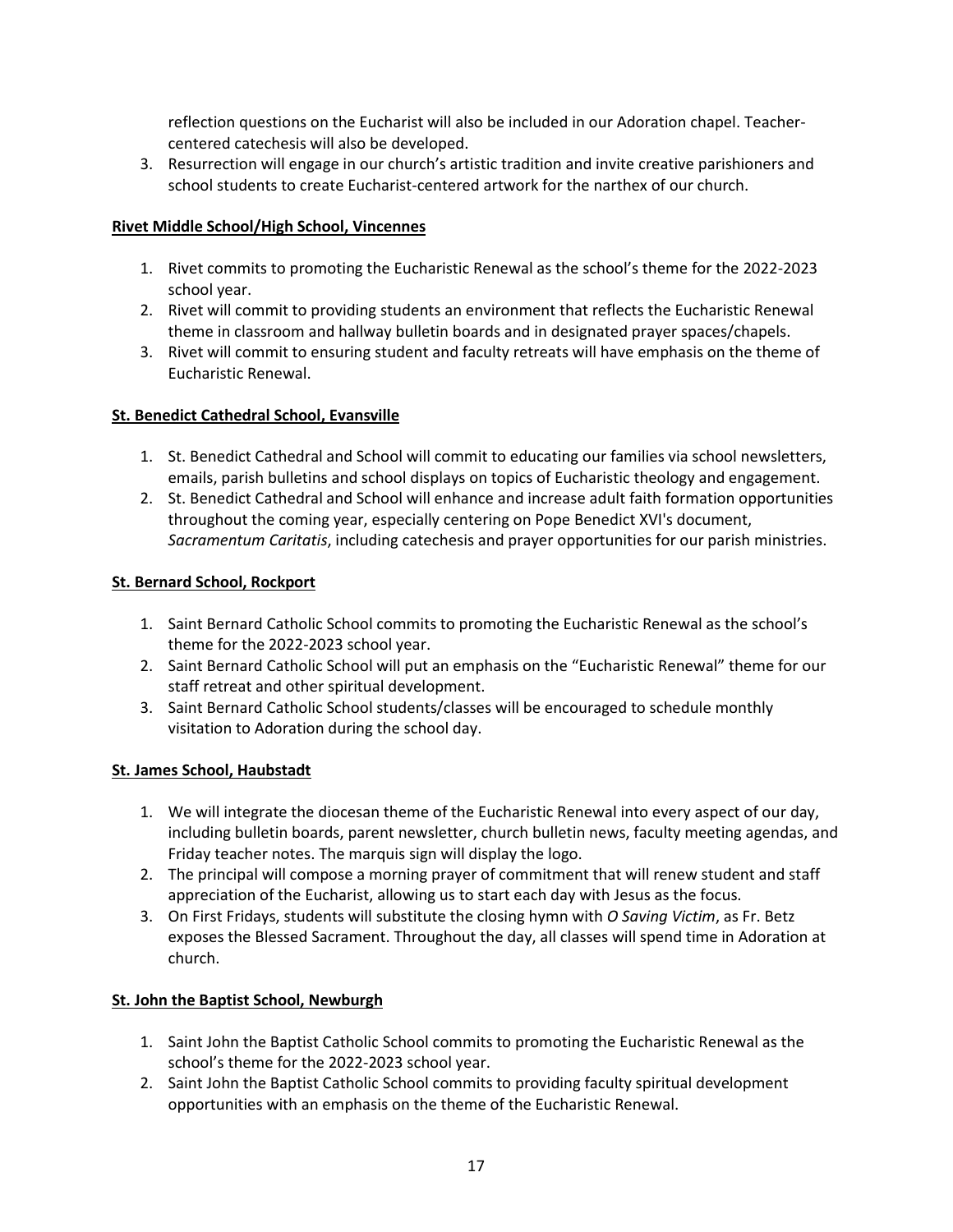reflection questions on the Eucharist will also be included in our Adoration chapel. Teachercentered catechesis will also be developed.

3. Resurrection will engage in our church's artistic tradition and invite creative parishioners and school students to create Eucharist-centered artwork for the narthex of our church.

# <span id="page-16-0"></span>**Rivet Middle School/High School, Vincennes**

- 1. Rivet commits to promoting the Eucharistic Renewal as the school's theme for the 2022-2023 school year.
- 2. Rivet will commit to providing students an environment that reflects the Eucharistic Renewal theme in classroom and hallway bulletin boards and in designated prayer spaces/chapels.
- 3. Rivet will commit to ensuring student and faculty retreats will have emphasis on the theme of Eucharistic Renewal.

## <span id="page-16-1"></span>**St. Benedict Cathedral School, Evansville**

- 1. St. Benedict Cathedral and School will commit to educating our families via school newsletters, emails, parish bulletins and school displays on topics of Eucharistic theology and engagement.
- 2. St. Benedict Cathedral and School will enhance and increase adult faith formation opportunities throughout the coming year, especially centering on Pope Benedict XVI's document, *Sacramentum Caritatis*, including catechesis and prayer opportunities for our parish ministries.

## <span id="page-16-3"></span><span id="page-16-2"></span>**St. Bernard School, Rockport**

- 1. Saint Bernard Catholic School commits to promoting the Eucharistic Renewal as the school's theme for the 2022-2023 school year.
- 2. Saint Bernard Catholic School will put an emphasis on the "Eucharistic Renewal" theme for our staff retreat and other spiritual development.
- 3. Saint Bernard Catholic School students/classes will be encouraged to schedule monthly visitation to Adoration during the school day.

# **St. James School, Haubstadt**

- 1. We will integrate the diocesan theme of the Eucharistic Renewal into every aspect of our day, including bulletin boards, parent newsletter, church bulletin news, faculty meeting agendas, and Friday teacher notes. The marquis sign will display the logo.
- 2. The principal will compose a morning prayer of commitment that will renew student and staff appreciation of the Eucharist, allowing us to start each day with Jesus as the focus.
- 3. On First Fridays, students will substitute the closing hymn with *O Saving Victim*, as Fr. Betz exposes the Blessed Sacrament. Throughout the day, all classes will spend time in Adoration at church.

# <span id="page-16-4"></span>**St. John the Baptist School, Newburgh**

- 1. Saint John the Baptist Catholic School commits to promoting the Eucharistic Renewal as the school's theme for the 2022-2023 school year.
- 2. Saint John the Baptist Catholic School commits to providing faculty spiritual development opportunities with an emphasis on the theme of the Eucharistic Renewal.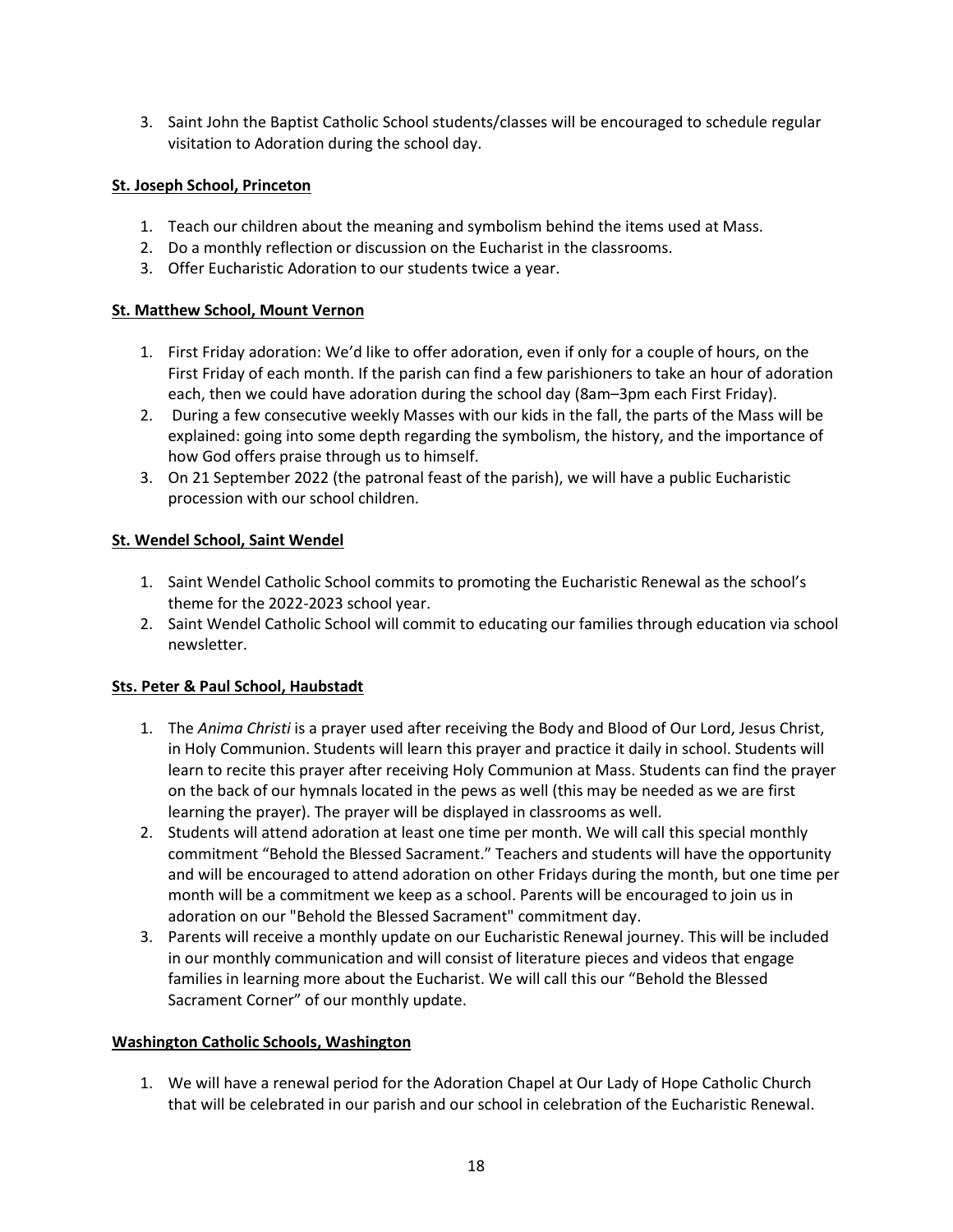3. Saint John the Baptist Catholic School students/classes will be encouraged to schedule regular visitation to Adoration during the school day.

# <span id="page-17-0"></span>**St. Joseph School, Princeton**

- 1. Teach our children about the meaning and symbolism behind the items used at Mass.
- 2. Do a monthly reflection or discussion on the Eucharist in the classrooms.
- 3. Offer Eucharistic Adoration to our students twice a year.

### <span id="page-17-1"></span>**St. Matthew School, Mount Vernon**

- 1. First Friday adoration: We'd like to offer adoration, even if only for a couple of hours, on the First Friday of each month. If the parish can find a few parishioners to take an hour of adoration each, then we could have adoration during the school day (8am–3pm each First Friday).
- 2. During a few consecutive weekly Masses with our kids in the fall, the parts of the Mass will be explained: going into some depth regarding the symbolism, the history, and the importance of how God offers praise through us to himself.
- 3. On 21 September 2022 (the patronal feast of the parish), we will have a public Eucharistic procession with our school children.

### <span id="page-17-2"></span>**St. Wendel School, Saint Wendel**

- 1. Saint Wendel Catholic School commits to promoting the Eucharistic Renewal as the school's theme for the 2022-2023 school year.
- 2. Saint Wendel Catholic School will commit to educating our families through education via school newsletter.

### <span id="page-17-3"></span>**Sts. Peter & Paul School, Haubstadt**

- 1. The *Anima Christi* is a prayer used after receiving the Body and Blood of Our Lord, Jesus Christ, in Holy Communion. Students will learn this prayer and practice it daily in school. Students will learn to recite this prayer after receiving Holy Communion at Mass. Students can find the prayer on the back of our hymnals located in the pews as well (this may be needed as we are first learning the prayer). The prayer will be displayed in classrooms as well.
- 2. Students will attend adoration at least one time per month. We will call this special monthly commitment "Behold the Blessed Sacrament." Teachers and students will have the opportunity and will be encouraged to attend adoration on other Fridays during the month, but one time per month will be a commitment we keep as a school. Parents will be encouraged to join us in adoration on our "Behold the Blessed Sacrament" commitment day.
- 3. Parents will receive a monthly update on our Eucharistic Renewal journey. This will be included in our monthly communication and will consist of literature pieces and videos that engage families in learning more about the Eucharist. We will call this our "Behold the Blessed Sacrament Corner" of our monthly update.

### <span id="page-17-4"></span>**Washington Catholic Schools, Washington**

1. We will have a renewal period for the Adoration Chapel at Our Lady of Hope Catholic Church that will be celebrated in our parish and our school in celebration of the Eucharistic Renewal.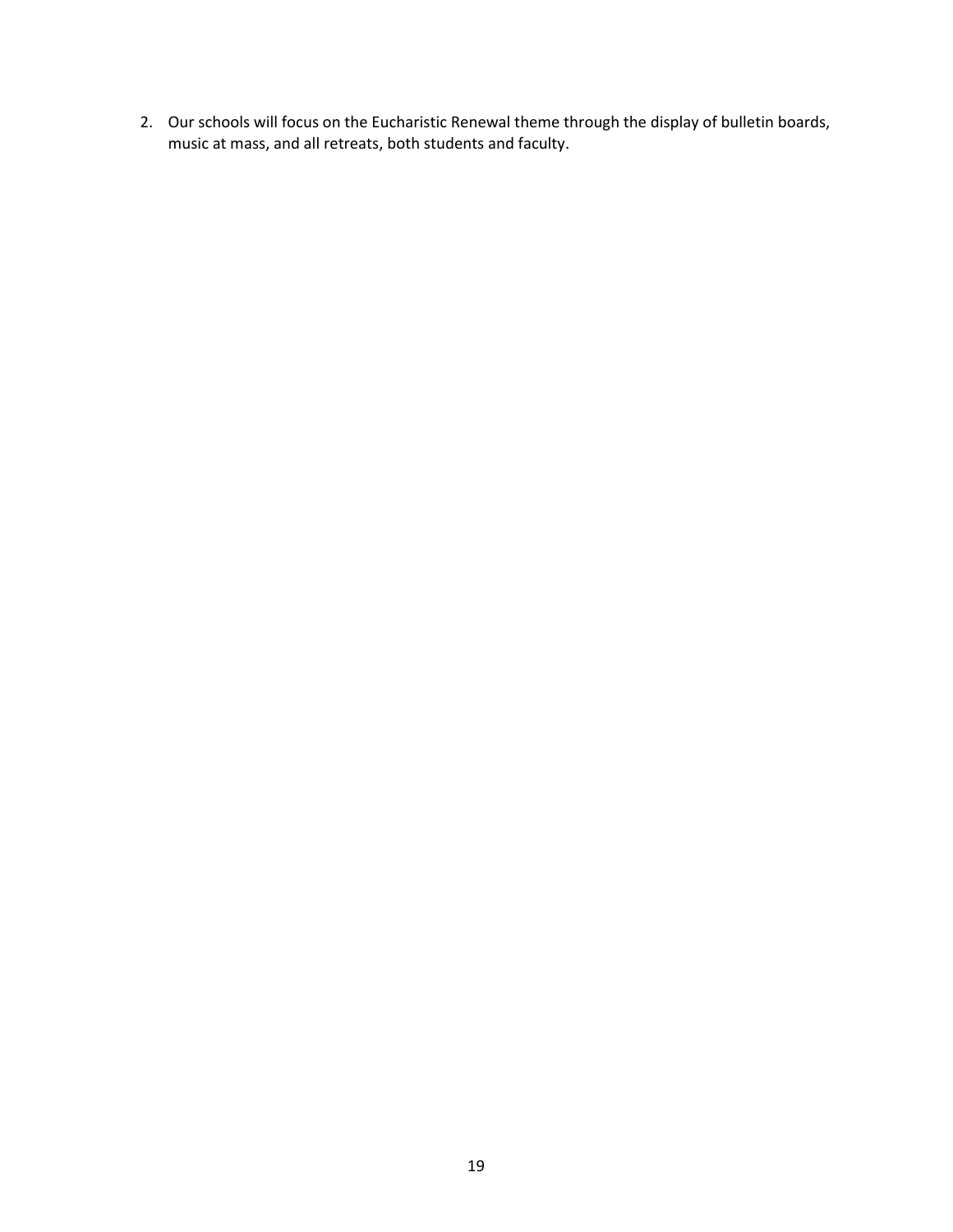2. Our schools will focus on the Eucharistic Renewal theme through the display of bulletin boards, music at mass, and all retreats, both students and faculty.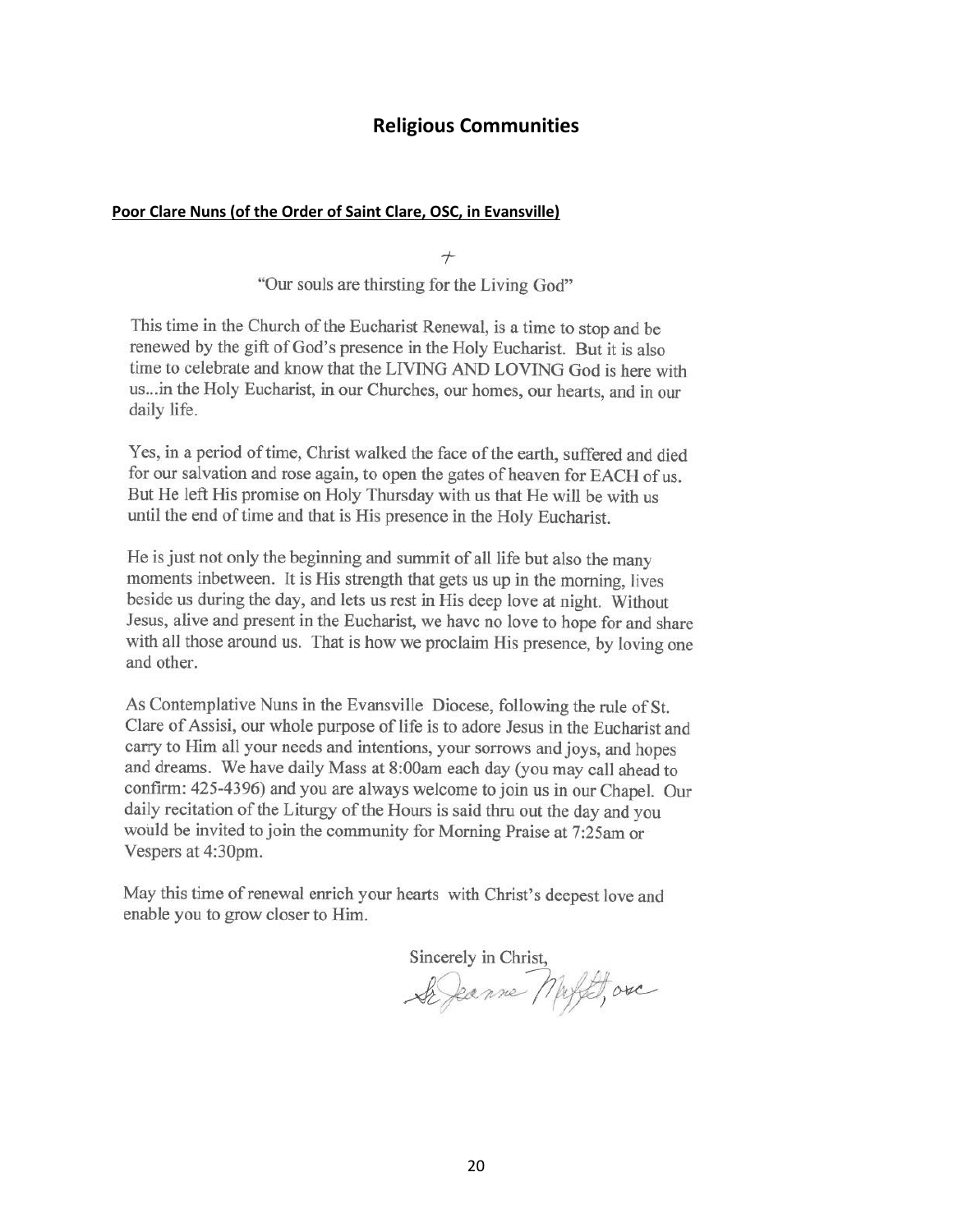# **Religious Communities**

#### <span id="page-19-0"></span>**Poor Clare Nuns (of the Order of Saint Clare, OSC, in Evansville)**

 $+$ 

"Our souls are thirsting for the Living God"

This time in the Church of the Eucharist Renewal, is a time to stop and be renewed by the gift of God's presence in the Holy Eucharist. But it is also time to celebrate and know that the LIVING AND LOVING God is here with us...in the Holy Eucharist, in our Churches, our homes, our hearts, and in our daily life.

Yes, in a period of time, Christ walked the face of the earth, suffered and died for our salvation and rose again, to open the gates of heaven for EACH of us. But He left His promise on Holy Thursday with us that He will be with us until the end of time and that is His presence in the Holy Eucharist.

He is just not only the beginning and summit of all life but also the many moments inbetween. It is His strength that gets us up in the morning, lives beside us during the day, and lets us rest in His deep love at night. Without Jesus, alive and present in the Eucharist, we have no love to hope for and share with all those around us. That is how we proclaim His presence, by loving one and other.

As Contemplative Nuns in the Evansville Diocese, following the rule of St. Clare of Assisi, our whole purpose of life is to adore Jesus in the Eucharist and carry to Him all your needs and intentions, your sorrows and joys, and hopes and dreams. We have daily Mass at 8:00am each day (you may call ahead to confirm: 425-4396) and you are always welcome to join us in our Chapel. Our daily recitation of the Liturgy of the Hours is said thru out the day and you would be invited to join the community for Morning Praise at 7:25am or Vespers at 4:30pm.

May this time of renewal enrich your hearts with Christ's deepest love and enable you to grow closer to Him.

Sincerely in Christ,<br>Se Jeanne Muffet, over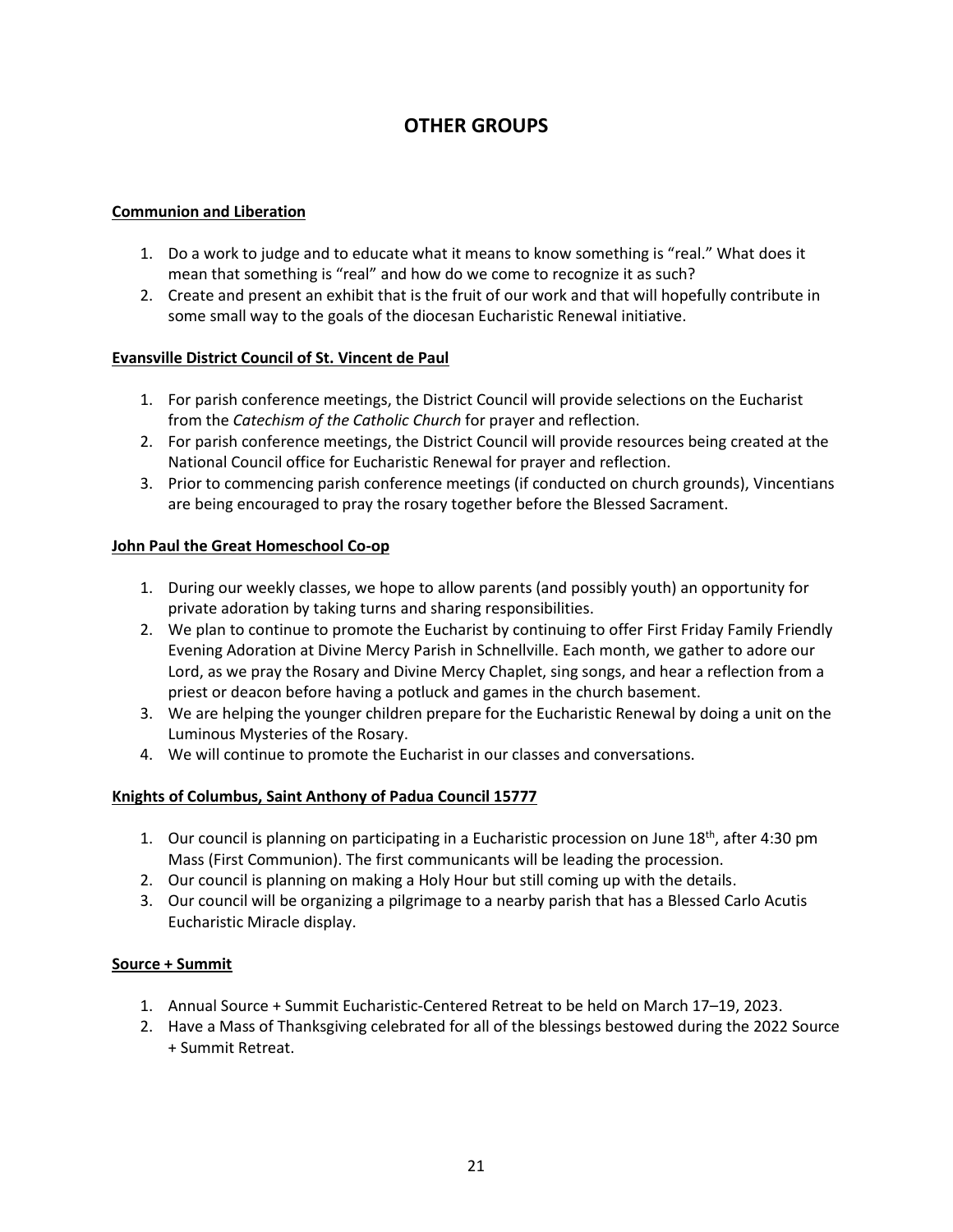# **OTHER GROUPS**

## <span id="page-20-0"></span>**Communion and Liberation**

- 1. Do a work to judge and to educate what it means to know something is "real." What does it mean that something is "real" and how do we come to recognize it as such?
- 2. Create and present an exhibit that is the fruit of our work and that will hopefully contribute in some small way to the goals of the diocesan Eucharistic Renewal initiative.

## <span id="page-20-1"></span>**Evansville District Council of St. Vincent de Paul**

- 1. For parish conference meetings, the District Council will provide selections on the Eucharist from the *Catechism of the Catholic Church* for prayer and reflection.
- 2. For parish conference meetings, the District Council will provide resources being created at the National Council office for Eucharistic Renewal for prayer and reflection.
- 3. Prior to commencing parish conference meetings (if conducted on church grounds), Vincentians are being encouraged to pray the rosary together before the Blessed Sacrament.

## <span id="page-20-2"></span>**John Paul the Great Homeschool Co-op**

- 1. During our weekly classes, we hope to allow parents (and possibly youth) an opportunity for private adoration by taking turns and sharing responsibilities.
- 2. We plan to continue to promote the Eucharist by continuing to offer First Friday Family Friendly Evening Adoration at Divine Mercy Parish in Schnellville. Each month, we gather to adore our Lord, as we pray the Rosary and Divine Mercy Chaplet, sing songs, and hear a reflection from a priest or deacon before having a potluck and games in the church basement.
- 3. We are helping the younger children prepare for the Eucharistic Renewal by doing a unit on the Luminous Mysteries of the Rosary.
- 4. We will continue to promote the Eucharist in our classes and conversations.

### <span id="page-20-3"></span>**Knights of Columbus, Saint Anthony of Padua Council 15777**

- 1. Our council is planning on participating in a Eucharistic procession on June 18<sup>th</sup>, after 4:30 pm Mass (First Communion). The first communicants will be leading the procession.
- 2. Our council is planning on making a Holy Hour but still coming up with the details.
- 3. Our council will be organizing a pilgrimage to a nearby parish that has a Blessed Carlo Acutis Eucharistic Miracle display.

### <span id="page-20-4"></span>**Source + Summit**

- 1. Annual Source + Summit Eucharistic-Centered Retreat to be held on March 17–19, 2023.
- 2. Have a Mass of Thanksgiving celebrated for all of the blessings bestowed during the 2022 Source + Summit Retreat.